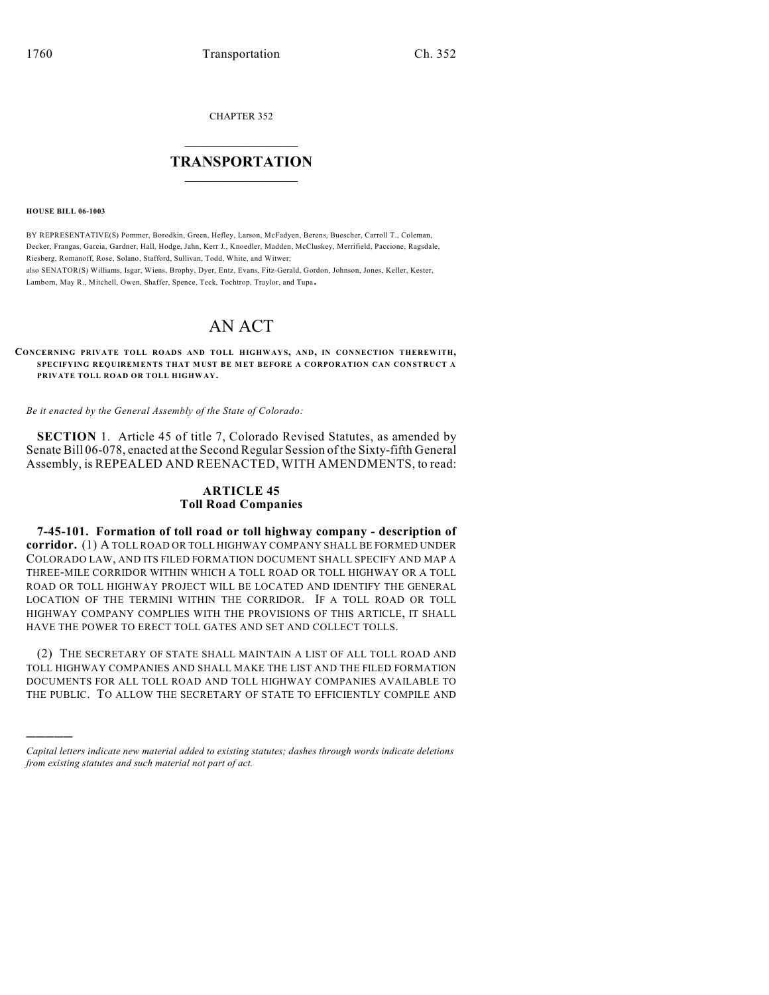CHAPTER 352

## $\mathcal{L}_\text{max}$  . The set of the set of the set of the set of the set of the set of the set of the set of the set of the set of the set of the set of the set of the set of the set of the set of the set of the set of the set **TRANSPORTATION**  $\_$   $\_$   $\_$   $\_$   $\_$   $\_$   $\_$   $\_$   $\_$

**HOUSE BILL 06-1003**

)))))

BY REPRESENTATIVE(S) Pommer, Borodkin, Green, Hefley, Larson, McFadyen, Berens, Buescher, Carroll T., Coleman, Decker, Frangas, Garcia, Gardner, Hall, Hodge, Jahn, Kerr J., Knoedler, Madden, McCluskey, Merrifield, Paccione, Ragsdale, Riesberg, Romanoff, Rose, Solano, Stafford, Sullivan, Todd, White, and Witwer; also SENATOR(S) Williams, Isgar, Wiens, Brophy, Dyer, Entz, Evans, Fitz-Gerald, Gordon, Johnson, Jones, Keller, Kester, Lamborn, May R., Mitchell, Owen, Shaffer, Spence, Teck, Tochtrop, Traylor, and Tupa.

# AN ACT

**CONCERNING PRIVATE TOLL ROADS AND TOLL HIGHWAYS, AND, IN CONNECTION THEREWITH, SPECIFYING REQUIREMENTS THAT MUST BE MET BEFORE A CORPORATION CAN CONSTRUCT A PRIVATE TOLL ROAD OR TOLL HIGHWAY.**

*Be it enacted by the General Assembly of the State of Colorado:*

**SECTION** 1. Article 45 of title 7, Colorado Revised Statutes, as amended by Senate Bill 06-078, enacted at the Second Regular Session of the Sixty-fifth General Assembly, is REPEALED AND REENACTED, WITH AMENDMENTS, to read:

## **ARTICLE 45 Toll Road Companies**

**7-45-101. Formation of toll road or toll highway company - description of corridor.** (1) A TOLL ROAD OR TOLL HIGHWAY COMPANY SHALL BE FORMED UNDER COLORADO LAW, AND ITS FILED FORMATION DOCUMENT SHALL SPECIFY AND MAP A THREE-MILE CORRIDOR WITHIN WHICH A TOLL ROAD OR TOLL HIGHWAY OR A TOLL ROAD OR TOLL HIGHWAY PROJECT WILL BE LOCATED AND IDENTIFY THE GENERAL LOCATION OF THE TERMINI WITHIN THE CORRIDOR. IF A TOLL ROAD OR TOLL HIGHWAY COMPANY COMPLIES WITH THE PROVISIONS OF THIS ARTICLE, IT SHALL HAVE THE POWER TO ERECT TOLL GATES AND SET AND COLLECT TOLLS.

(2) THE SECRETARY OF STATE SHALL MAINTAIN A LIST OF ALL TOLL ROAD AND TOLL HIGHWAY COMPANIES AND SHALL MAKE THE LIST AND THE FILED FORMATION DOCUMENTS FOR ALL TOLL ROAD AND TOLL HIGHWAY COMPANIES AVAILABLE TO THE PUBLIC. TO ALLOW THE SECRETARY OF STATE TO EFFICIENTLY COMPILE AND

*Capital letters indicate new material added to existing statutes; dashes through words indicate deletions from existing statutes and such material not part of act.*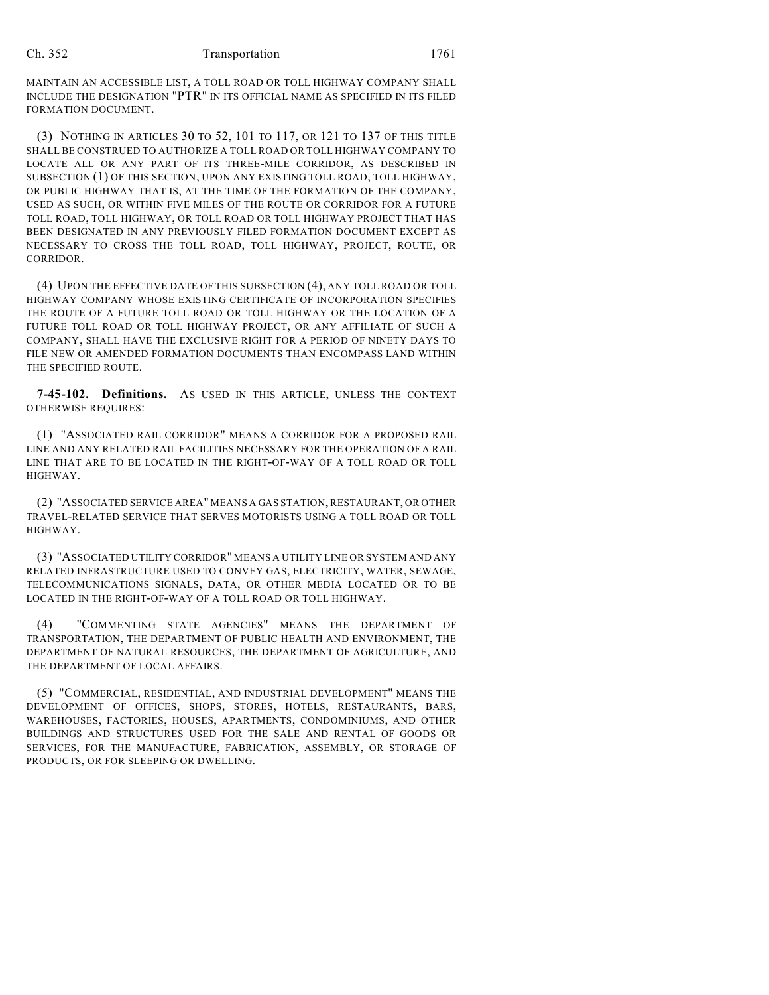MAINTAIN AN ACCESSIBLE LIST, A TOLL ROAD OR TOLL HIGHWAY COMPANY SHALL INCLUDE THE DESIGNATION "PTR" IN ITS OFFICIAL NAME AS SPECIFIED IN ITS FILED FORMATION DOCUMENT.

(3) NOTHING IN ARTICLES 30 TO 52, 101 TO 117, OR 121 TO 137 OF THIS TITLE SHALL BE CONSTRUED TO AUTHORIZE A TOLL ROAD OR TOLL HIGHWAY COMPANY TO LOCATE ALL OR ANY PART OF ITS THREE-MILE CORRIDOR, AS DESCRIBED IN SUBSECTION (1) OF THIS SECTION, UPON ANY EXISTING TOLL ROAD, TOLL HIGHWAY, OR PUBLIC HIGHWAY THAT IS, AT THE TIME OF THE FORMATION OF THE COMPANY, USED AS SUCH, OR WITHIN FIVE MILES OF THE ROUTE OR CORRIDOR FOR A FUTURE TOLL ROAD, TOLL HIGHWAY, OR TOLL ROAD OR TOLL HIGHWAY PROJECT THAT HAS BEEN DESIGNATED IN ANY PREVIOUSLY FILED FORMATION DOCUMENT EXCEPT AS NECESSARY TO CROSS THE TOLL ROAD, TOLL HIGHWAY, PROJECT, ROUTE, OR CORRIDOR.

(4) UPON THE EFFECTIVE DATE OF THIS SUBSECTION (4), ANY TOLL ROAD OR TOLL HIGHWAY COMPANY WHOSE EXISTING CERTIFICATE OF INCORPORATION SPECIFIES THE ROUTE OF A FUTURE TOLL ROAD OR TOLL HIGHWAY OR THE LOCATION OF A FUTURE TOLL ROAD OR TOLL HIGHWAY PROJECT, OR ANY AFFILIATE OF SUCH A COMPANY, SHALL HAVE THE EXCLUSIVE RIGHT FOR A PERIOD OF NINETY DAYS TO FILE NEW OR AMENDED FORMATION DOCUMENTS THAN ENCOMPASS LAND WITHIN THE SPECIFIED ROUTE.

**7-45-102. Definitions.** AS USED IN THIS ARTICLE, UNLESS THE CONTEXT OTHERWISE REQUIRES:

(1) "ASSOCIATED RAIL CORRIDOR" MEANS A CORRIDOR FOR A PROPOSED RAIL LINE AND ANY RELATED RAIL FACILITIES NECESSARY FOR THE OPERATION OF A RAIL LINE THAT ARE TO BE LOCATED IN THE RIGHT-OF-WAY OF A TOLL ROAD OR TOLL HIGHWAY.

(2) "ASSOCIATED SERVICE AREA" MEANS A GAS STATION, RESTAURANT, OR OTHER TRAVEL-RELATED SERVICE THAT SERVES MOTORISTS USING A TOLL ROAD OR TOLL HIGHWAY.

(3) "ASSOCIATED UTILITY CORRIDOR" MEANS A UTILITY LINE OR SYSTEM AND ANY RELATED INFRASTRUCTURE USED TO CONVEY GAS, ELECTRICITY, WATER, SEWAGE, TELECOMMUNICATIONS SIGNALS, DATA, OR OTHER MEDIA LOCATED OR TO BE LOCATED IN THE RIGHT-OF-WAY OF A TOLL ROAD OR TOLL HIGHWAY.

(4) "COMMENTING STATE AGENCIES" MEANS THE DEPARTMENT OF TRANSPORTATION, THE DEPARTMENT OF PUBLIC HEALTH AND ENVIRONMENT, THE DEPARTMENT OF NATURAL RESOURCES, THE DEPARTMENT OF AGRICULTURE, AND THE DEPARTMENT OF LOCAL AFFAIRS.

(5) "COMMERCIAL, RESIDENTIAL, AND INDUSTRIAL DEVELOPMENT" MEANS THE DEVELOPMENT OF OFFICES, SHOPS, STORES, HOTELS, RESTAURANTS, BARS, WAREHOUSES, FACTORIES, HOUSES, APARTMENTS, CONDOMINIUMS, AND OTHER BUILDINGS AND STRUCTURES USED FOR THE SALE AND RENTAL OF GOODS OR SERVICES, FOR THE MANUFACTURE, FABRICATION, ASSEMBLY, OR STORAGE OF PRODUCTS, OR FOR SLEEPING OR DWELLING.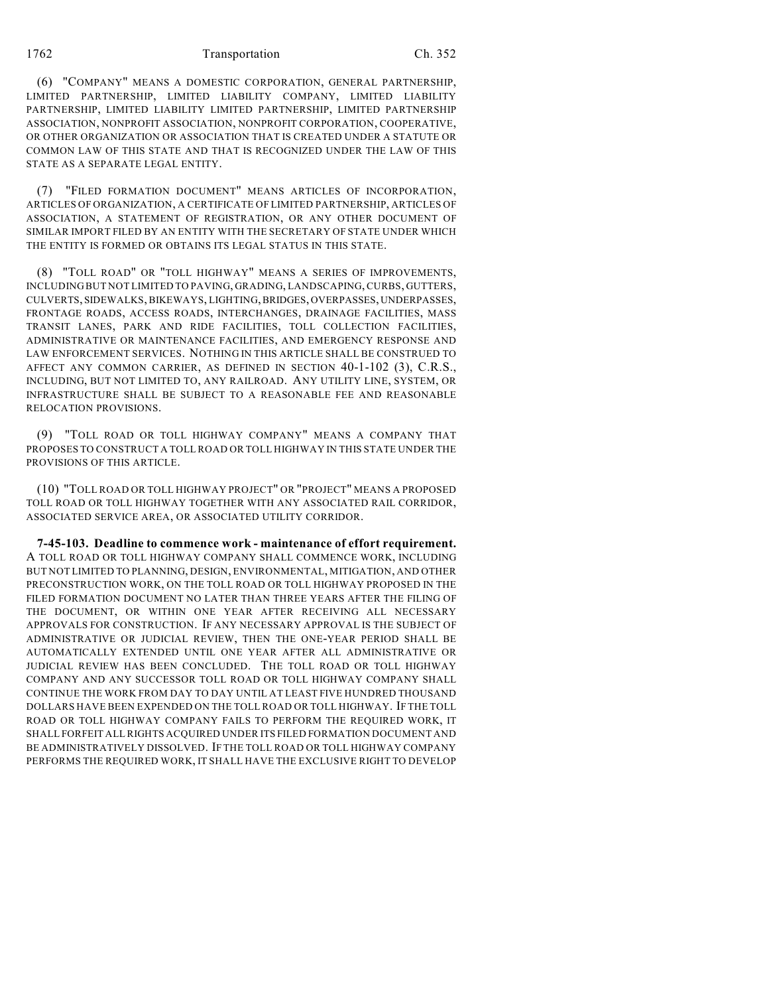### 1762 Transportation Ch. 352

(6) "COMPANY" MEANS A DOMESTIC CORPORATION, GENERAL PARTNERSHIP, LIMITED PARTNERSHIP, LIMITED LIABILITY COMPANY, LIMITED LIABILITY PARTNERSHIP, LIMITED LIABILITY LIMITED PARTNERSHIP, LIMITED PARTNERSHIP ASSOCIATION, NONPROFIT ASSOCIATION, NONPROFIT CORPORATION, COOPERATIVE, OR OTHER ORGANIZATION OR ASSOCIATION THAT IS CREATED UNDER A STATUTE OR COMMON LAW OF THIS STATE AND THAT IS RECOGNIZED UNDER THE LAW OF THIS STATE AS A SEPARATE LEGAL ENTITY.

(7) "FILED FORMATION DOCUMENT" MEANS ARTICLES OF INCORPORATION, ARTICLES OF ORGANIZATION, A CERTIFICATE OF LIMITED PARTNERSHIP, ARTICLES OF ASSOCIATION, A STATEMENT OF REGISTRATION, OR ANY OTHER DOCUMENT OF SIMILAR IMPORT FILED BY AN ENTITY WITH THE SECRETARY OF STATE UNDER WHICH THE ENTITY IS FORMED OR OBTAINS ITS LEGAL STATUS IN THIS STATE.

(8) "TOLL ROAD" OR "TOLL HIGHWAY" MEANS A SERIES OF IMPROVEMENTS, INCLUDING BUT NOT LIMITED TO PAVING, GRADING, LANDSCAPING, CURBS, GUTTERS, CULVERTS, SIDEWALKS, BIKEWAYS, LIGHTING, BRIDGES, OVERPASSES, UNDERPASSES, FRONTAGE ROADS, ACCESS ROADS, INTERCHANGES, DRAINAGE FACILITIES, MASS TRANSIT LANES, PARK AND RIDE FACILITIES, TOLL COLLECTION FACILITIES, ADMINISTRATIVE OR MAINTENANCE FACILITIES, AND EMERGENCY RESPONSE AND LAW ENFORCEMENT SERVICES. NOTHING IN THIS ARTICLE SHALL BE CONSTRUED TO AFFECT ANY COMMON CARRIER, AS DEFINED IN SECTION 40-1-102 (3), C.R.S., INCLUDING, BUT NOT LIMITED TO, ANY RAILROAD. ANY UTILITY LINE, SYSTEM, OR INFRASTRUCTURE SHALL BE SUBJECT TO A REASONABLE FEE AND REASONABLE RELOCATION PROVISIONS.

(9) "TOLL ROAD OR TOLL HIGHWAY COMPANY" MEANS A COMPANY THAT PROPOSES TO CONSTRUCT A TOLL ROAD OR TOLL HIGHWAY IN THIS STATE UNDER THE PROVISIONS OF THIS ARTICLE.

(10) "TOLL ROAD OR TOLL HIGHWAY PROJECT" OR "PROJECT" MEANS A PROPOSED TOLL ROAD OR TOLL HIGHWAY TOGETHER WITH ANY ASSOCIATED RAIL CORRIDOR, ASSOCIATED SERVICE AREA, OR ASSOCIATED UTILITY CORRIDOR.

**7-45-103. Deadline to commence work - maintenance of effort requirement.** A TOLL ROAD OR TOLL HIGHWAY COMPANY SHALL COMMENCE WORK, INCLUDING BUT NOT LIMITED TO PLANNING, DESIGN, ENVIRONMENTAL, MITIGATION, AND OTHER PRECONSTRUCTION WORK, ON THE TOLL ROAD OR TOLL HIGHWAY PROPOSED IN THE FILED FORMATION DOCUMENT NO LATER THAN THREE YEARS AFTER THE FILING OF THE DOCUMENT, OR WITHIN ONE YEAR AFTER RECEIVING ALL NECESSARY APPROVALS FOR CONSTRUCTION. IF ANY NECESSARY APPROVAL IS THE SUBJECT OF ADMINISTRATIVE OR JUDICIAL REVIEW, THEN THE ONE-YEAR PERIOD SHALL BE AUTOMATICALLY EXTENDED UNTIL ONE YEAR AFTER ALL ADMINISTRATIVE OR JUDICIAL REVIEW HAS BEEN CONCLUDED. THE TOLL ROAD OR TOLL HIGHWAY COMPANY AND ANY SUCCESSOR TOLL ROAD OR TOLL HIGHWAY COMPANY SHALL CONTINUE THE WORK FROM DAY TO DAY UNTIL AT LEAST FIVE HUNDRED THOUSAND DOLLARS HAVE BEEN EXPENDED ON THE TOLL ROAD OR TOLL HIGHWAY. IF THE TOLL ROAD OR TOLL HIGHWAY COMPANY FAILS TO PERFORM THE REQUIRED WORK, IT SHALL FORFEIT ALL RIGHTS ACQUIRED UNDER ITS FILED FORMATION DOCUMENT AND BE ADMINISTRATIVELY DISSOLVED. IF THE TOLL ROAD OR TOLL HIGHWAY COMPANY PERFORMS THE REQUIRED WORK, IT SHALL HAVE THE EXCLUSIVE RIGHT TO DEVELOP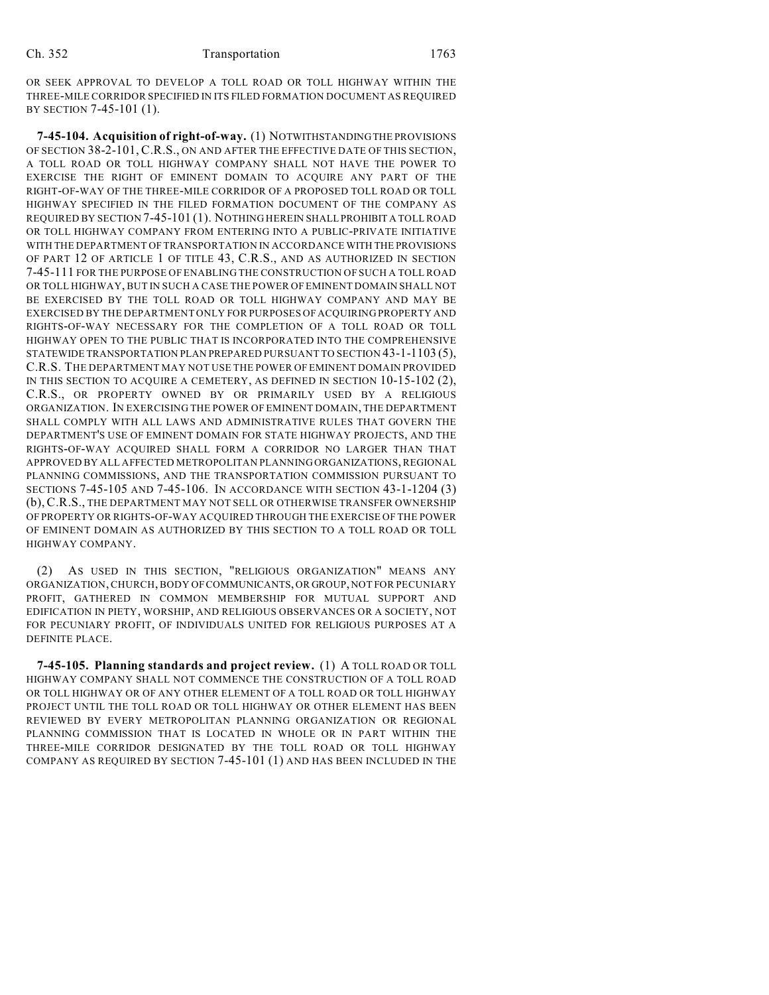OR SEEK APPROVAL TO DEVELOP A TOLL ROAD OR TOLL HIGHWAY WITHIN THE THREE-MILE CORRIDOR SPECIFIED IN ITS FILED FORMATION DOCUMENT AS REQUIRED BY SECTION 7-45-101 (1).

**7-45-104. Acquisition of right-of-way.** (1) NOTWITHSTANDING THE PROVISIONS OF SECTION 38-2-101, C.R.S., ON AND AFTER THE EFFECTIVE DATE OF THIS SECTION, A TOLL ROAD OR TOLL HIGHWAY COMPANY SHALL NOT HAVE THE POWER TO EXERCISE THE RIGHT OF EMINENT DOMAIN TO ACQUIRE ANY PART OF THE RIGHT-OF-WAY OF THE THREE-MILE CORRIDOR OF A PROPOSED TOLL ROAD OR TOLL HIGHWAY SPECIFIED IN THE FILED FORMATION DOCUMENT OF THE COMPANY AS REQUIRED BY SECTION 7-45-101 (1). NOTHING HEREIN SHALL PROHIBIT A TOLL ROAD OR TOLL HIGHWAY COMPANY FROM ENTERING INTO A PUBLIC-PRIVATE INITIATIVE WITH THE DEPARTMENT OF TRANSPORTATION IN ACCORDANCE WITH THE PROVISIONS OF PART 12 OF ARTICLE 1 OF TITLE 43, C.R.S., AND AS AUTHORIZED IN SECTION 7-45-111 FOR THE PURPOSE OF ENABLING THE CONSTRUCTION OF SUCH A TOLL ROAD OR TOLL HIGHWAY, BUT IN SUCH A CASE THE POWER OF EMINENT DOMAIN SHALL NOT BE EXERCISED BY THE TOLL ROAD OR TOLL HIGHWAY COMPANY AND MAY BE EXERCISED BY THE DEPARTMENT ONLY FOR PURPOSES OF ACQUIRING PROPERTY AND RIGHTS-OF-WAY NECESSARY FOR THE COMPLETION OF A TOLL ROAD OR TOLL HIGHWAY OPEN TO THE PUBLIC THAT IS INCORPORATED INTO THE COMPREHENSIVE STATEWIDE TRANSPORTATION PLAN PREPARED PURSUANT TO SECTION 43-1-1103 (5), C.R.S. THE DEPARTMENT MAY NOT USE THE POWER OF EMINENT DOMAIN PROVIDED IN THIS SECTION TO ACQUIRE A CEMETERY, AS DEFINED IN SECTION 10-15-102 (2), C.R.S., OR PROPERTY OWNED BY OR PRIMARILY USED BY A RELIGIOUS ORGANIZATION. IN EXERCISING THE POWER OF EMINENT DOMAIN, THE DEPARTMENT SHALL COMPLY WITH ALL LAWS AND ADMINISTRATIVE RULES THAT GOVERN THE DEPARTMENT'S USE OF EMINENT DOMAIN FOR STATE HIGHWAY PROJECTS, AND THE RIGHTS-OF-WAY ACQUIRED SHALL FORM A CORRIDOR NO LARGER THAN THAT APPROVED BY ALL AFFECTED METROPOLITAN PLANNING ORGANIZATIONS, REGIONAL PLANNING COMMISSIONS, AND THE TRANSPORTATION COMMISSION PURSUANT TO SECTIONS 7-45-105 AND 7-45-106. IN ACCORDANCE WITH SECTION 43-1-1204 (3) (b), C.R.S., THE DEPARTMENT MAY NOT SELL OR OTHERWISE TRANSFER OWNERSHIP OF PROPERTY OR RIGHTS-OF-WAY ACQUIRED THROUGH THE EXERCISE OF THE POWER OF EMINENT DOMAIN AS AUTHORIZED BY THIS SECTION TO A TOLL ROAD OR TOLL HIGHWAY COMPANY.

(2) AS USED IN THIS SECTION, "RELIGIOUS ORGANIZATION" MEANS ANY ORGANIZATION, CHURCH, BODY OF COMMUNICANTS, OR GROUP, NOT FOR PECUNIARY PROFIT, GATHERED IN COMMON MEMBERSHIP FOR MUTUAL SUPPORT AND EDIFICATION IN PIETY, WORSHIP, AND RELIGIOUS OBSERVANCES OR A SOCIETY, NOT FOR PECUNIARY PROFIT, OF INDIVIDUALS UNITED FOR RELIGIOUS PURPOSES AT A DEFINITE PLACE.

**7-45-105. Planning standards and project review.** (1) A TOLL ROAD OR TOLL HIGHWAY COMPANY SHALL NOT COMMENCE THE CONSTRUCTION OF A TOLL ROAD OR TOLL HIGHWAY OR OF ANY OTHER ELEMENT OF A TOLL ROAD OR TOLL HIGHWAY PROJECT UNTIL THE TOLL ROAD OR TOLL HIGHWAY OR OTHER ELEMENT HAS BEEN REVIEWED BY EVERY METROPOLITAN PLANNING ORGANIZATION OR REGIONAL PLANNING COMMISSION THAT IS LOCATED IN WHOLE OR IN PART WITHIN THE THREE-MILE CORRIDOR DESIGNATED BY THE TOLL ROAD OR TOLL HIGHWAY COMPANY AS REQUIRED BY SECTION 7-45-101 (1) AND HAS BEEN INCLUDED IN THE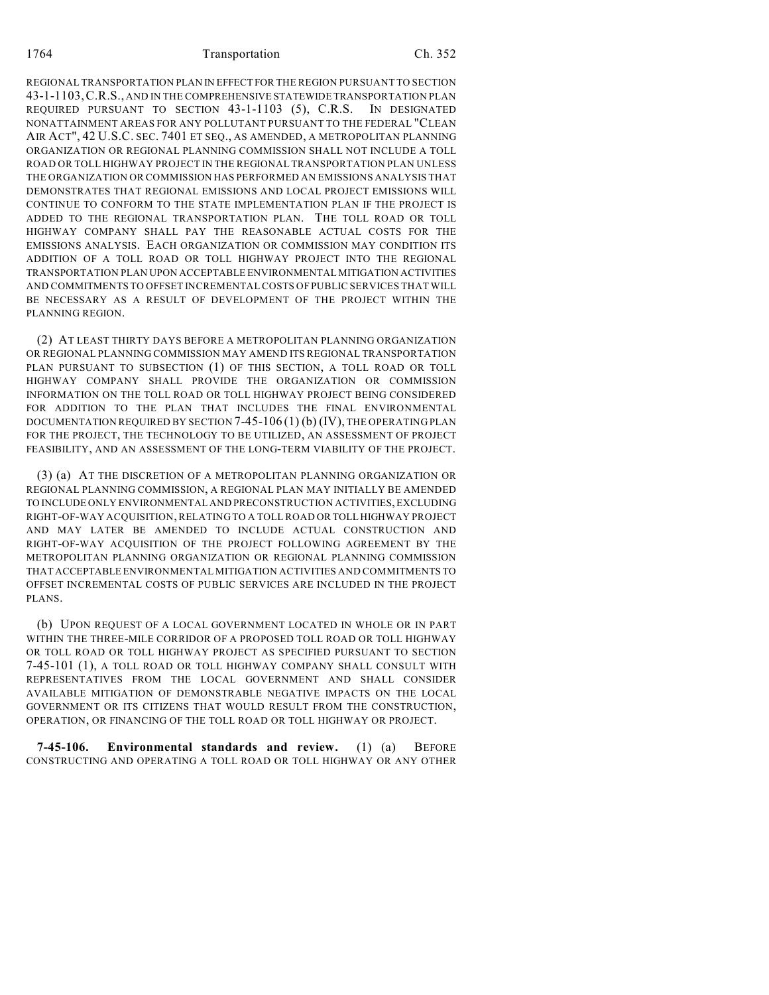REGIONAL TRANSPORTATION PLAN IN EFFECT FOR THE REGION PURSUANT TO SECTION 43-1-1103,C.R.S., AND IN THE COMPREHENSIVE STATEWIDE TRANSPORTATION PLAN REQUIRED PURSUANT TO SECTION 43-1-1103 (5), C.R.S. IN DESIGNATED NONATTAINMENT AREAS FOR ANY POLLUTANT PURSUANT TO THE FEDERAL "CLEAN AIR ACT", 42 U.S.C. SEC. 7401 ET SEQ., AS AMENDED, A METROPOLITAN PLANNING ORGANIZATION OR REGIONAL PLANNING COMMISSION SHALL NOT INCLUDE A TOLL ROAD OR TOLL HIGHWAY PROJECT IN THE REGIONAL TRANSPORTATION PLAN UNLESS THE ORGANIZATION OR COMMISSION HAS PERFORMED AN EMISSIONS ANALYSIS THAT DEMONSTRATES THAT REGIONAL EMISSIONS AND LOCAL PROJECT EMISSIONS WILL CONTINUE TO CONFORM TO THE STATE IMPLEMENTATION PLAN IF THE PROJECT IS ADDED TO THE REGIONAL TRANSPORTATION PLAN. THE TOLL ROAD OR TOLL HIGHWAY COMPANY SHALL PAY THE REASONABLE ACTUAL COSTS FOR THE EMISSIONS ANALYSIS. EACH ORGANIZATION OR COMMISSION MAY CONDITION ITS ADDITION OF A TOLL ROAD OR TOLL HIGHWAY PROJECT INTO THE REGIONAL TRANSPORTATION PLAN UPON ACCEPTABLE ENVIRONMENTAL MITIGATION ACTIVITIES AND COMMITMENTS TO OFFSET INCREMENTAL COSTS OF PUBLIC SERVICES THAT WILL BE NECESSARY AS A RESULT OF DEVELOPMENT OF THE PROJECT WITHIN THE PLANNING REGION.

(2) AT LEAST THIRTY DAYS BEFORE A METROPOLITAN PLANNING ORGANIZATION OR REGIONAL PLANNING COMMISSION MAY AMEND ITS REGIONAL TRANSPORTATION PLAN PURSUANT TO SUBSECTION (1) OF THIS SECTION, A TOLL ROAD OR TOLL HIGHWAY COMPANY SHALL PROVIDE THE ORGANIZATION OR COMMISSION INFORMATION ON THE TOLL ROAD OR TOLL HIGHWAY PROJECT BEING CONSIDERED FOR ADDITION TO THE PLAN THAT INCLUDES THE FINAL ENVIRONMENTAL DOCUMENTATION REQUIRED BY SECTION 7-45-106 (1) (b) (IV), THE OPERATING PLAN FOR THE PROJECT, THE TECHNOLOGY TO BE UTILIZED, AN ASSESSMENT OF PROJECT FEASIBILITY, AND AN ASSESSMENT OF THE LONG-TERM VIABILITY OF THE PROJECT.

(3) (a) AT THE DISCRETION OF A METROPOLITAN PLANNING ORGANIZATION OR REGIONAL PLANNING COMMISSION, A REGIONAL PLAN MAY INITIALLY BE AMENDED TO INCLUDE ONLY ENVIRONMENTAL AND PRECONSTRUCTION ACTIVITIES, EXCLUDING RIGHT-OF-WAY ACQUISITION, RELATING TO A TOLL ROAD OR TOLL HIGHWAY PROJECT AND MAY LATER BE AMENDED TO INCLUDE ACTUAL CONSTRUCTION AND RIGHT-OF-WAY ACQUISITION OF THE PROJECT FOLLOWING AGREEMENT BY THE METROPOLITAN PLANNING ORGANIZATION OR REGIONAL PLANNING COMMISSION THAT ACCEPTABLE ENVIRONMENTAL MITIGATION ACTIVITIES AND COMMITMENTS TO OFFSET INCREMENTAL COSTS OF PUBLIC SERVICES ARE INCLUDED IN THE PROJECT PLANS.

(b) UPON REQUEST OF A LOCAL GOVERNMENT LOCATED IN WHOLE OR IN PART WITHIN THE THREE-MILE CORRIDOR OF A PROPOSED TOLL ROAD OR TOLL HIGHWAY OR TOLL ROAD OR TOLL HIGHWAY PROJECT AS SPECIFIED PURSUANT TO SECTION 7-45-101 (1), A TOLL ROAD OR TOLL HIGHWAY COMPANY SHALL CONSULT WITH REPRESENTATIVES FROM THE LOCAL GOVERNMENT AND SHALL CONSIDER AVAILABLE MITIGATION OF DEMONSTRABLE NEGATIVE IMPACTS ON THE LOCAL GOVERNMENT OR ITS CITIZENS THAT WOULD RESULT FROM THE CONSTRUCTION, OPERATION, OR FINANCING OF THE TOLL ROAD OR TOLL HIGHWAY OR PROJECT.

**7-45-106. Environmental standards and review.** (1) (a) BEFORE CONSTRUCTING AND OPERATING A TOLL ROAD OR TOLL HIGHWAY OR ANY OTHER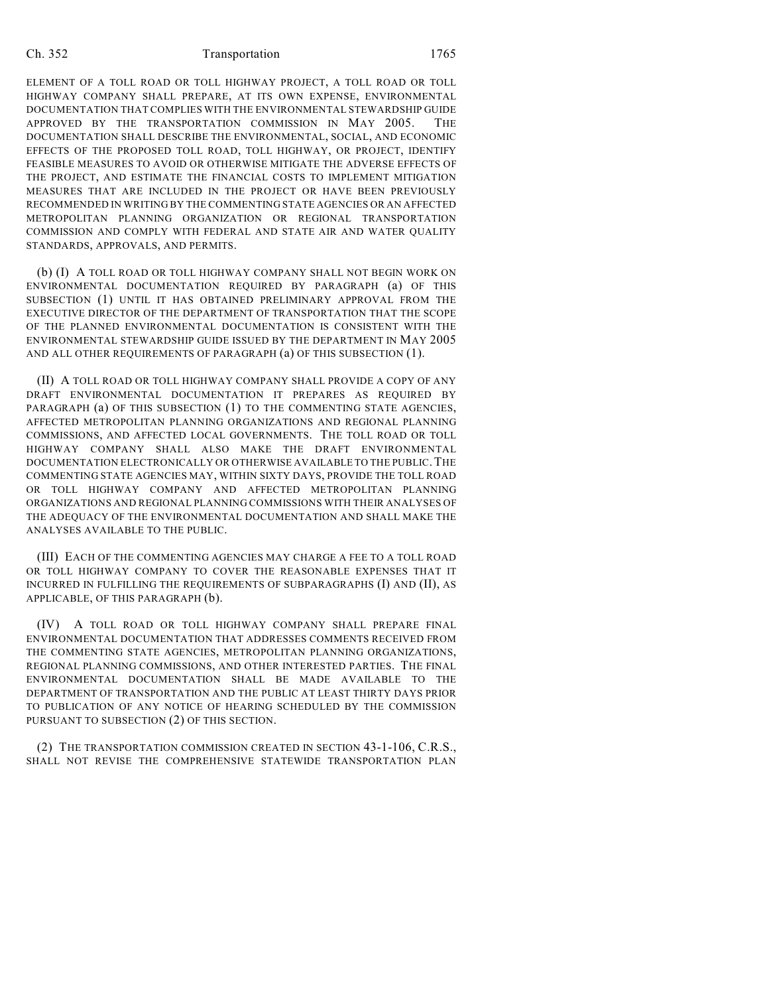ELEMENT OF A TOLL ROAD OR TOLL HIGHWAY PROJECT, A TOLL ROAD OR TOLL HIGHWAY COMPANY SHALL PREPARE, AT ITS OWN EXPENSE, ENVIRONMENTAL DOCUMENTATION THAT COMPLIES WITH THE ENVIRONMENTAL STEWARDSHIP GUIDE APPROVED BY THE TRANSPORTATION COMMISSION IN MAY 2005. THE DOCUMENTATION SHALL DESCRIBE THE ENVIRONMENTAL, SOCIAL, AND ECONOMIC EFFECTS OF THE PROPOSED TOLL ROAD, TOLL HIGHWAY, OR PROJECT, IDENTIFY FEASIBLE MEASURES TO AVOID OR OTHERWISE MITIGATE THE ADVERSE EFFECTS OF THE PROJECT, AND ESTIMATE THE FINANCIAL COSTS TO IMPLEMENT MITIGATION MEASURES THAT ARE INCLUDED IN THE PROJECT OR HAVE BEEN PREVIOUSLY RECOMMENDED IN WRITING BY THE COMMENTING STATE AGENCIES OR AN AFFECTED METROPOLITAN PLANNING ORGANIZATION OR REGIONAL TRANSPORTATION COMMISSION AND COMPLY WITH FEDERAL AND STATE AIR AND WATER QUALITY STANDARDS, APPROVALS, AND PERMITS.

(b) (I) A TOLL ROAD OR TOLL HIGHWAY COMPANY SHALL NOT BEGIN WORK ON ENVIRONMENTAL DOCUMENTATION REQUIRED BY PARAGRAPH (a) OF THIS SUBSECTION (1) UNTIL IT HAS OBTAINED PRELIMINARY APPROVAL FROM THE EXECUTIVE DIRECTOR OF THE DEPARTMENT OF TRANSPORTATION THAT THE SCOPE OF THE PLANNED ENVIRONMENTAL DOCUMENTATION IS CONSISTENT WITH THE ENVIRONMENTAL STEWARDSHIP GUIDE ISSUED BY THE DEPARTMENT IN MAY 2005 AND ALL OTHER REQUIREMENTS OF PARAGRAPH (a) OF THIS SUBSECTION (1).

(II) A TOLL ROAD OR TOLL HIGHWAY COMPANY SHALL PROVIDE A COPY OF ANY DRAFT ENVIRONMENTAL DOCUMENTATION IT PREPARES AS REQUIRED BY PARAGRAPH (a) OF THIS SUBSECTION (1) TO THE COMMENTING STATE AGENCIES, AFFECTED METROPOLITAN PLANNING ORGANIZATIONS AND REGIONAL PLANNING COMMISSIONS, AND AFFECTED LOCAL GOVERNMENTS. THE TOLL ROAD OR TOLL HIGHWAY COMPANY SHALL ALSO MAKE THE DRAFT ENVIRONMENTAL DOCUMENTATION ELECTRONICALLY OR OTHERWISE AVAILABLE TO THE PUBLIC.THE COMMENTING STATE AGENCIES MAY, WITHIN SIXTY DAYS, PROVIDE THE TOLL ROAD OR TOLL HIGHWAY COMPANY AND AFFECTED METROPOLITAN PLANNING ORGANIZATIONS AND REGIONAL PLANNING COMMISSIONS WITH THEIR ANALYSES OF THE ADEQUACY OF THE ENVIRONMENTAL DOCUMENTATION AND SHALL MAKE THE ANALYSES AVAILABLE TO THE PUBLIC.

(III) EACH OF THE COMMENTING AGENCIES MAY CHARGE A FEE TO A TOLL ROAD OR TOLL HIGHWAY COMPANY TO COVER THE REASONABLE EXPENSES THAT IT INCURRED IN FULFILLING THE REQUIREMENTS OF SUBPARAGRAPHS (I) AND (II), AS APPLICABLE, OF THIS PARAGRAPH (b).

(IV) A TOLL ROAD OR TOLL HIGHWAY COMPANY SHALL PREPARE FINAL ENVIRONMENTAL DOCUMENTATION THAT ADDRESSES COMMENTS RECEIVED FROM THE COMMENTING STATE AGENCIES, METROPOLITAN PLANNING ORGANIZATIONS, REGIONAL PLANNING COMMISSIONS, AND OTHER INTERESTED PARTIES. THE FINAL ENVIRONMENTAL DOCUMENTATION SHALL BE MADE AVAILABLE TO THE DEPARTMENT OF TRANSPORTATION AND THE PUBLIC AT LEAST THIRTY DAYS PRIOR TO PUBLICATION OF ANY NOTICE OF HEARING SCHEDULED BY THE COMMISSION PURSUANT TO SUBSECTION (2) OF THIS SECTION.

(2) THE TRANSPORTATION COMMISSION CREATED IN SECTION 43-1-106, C.R.S., SHALL NOT REVISE THE COMPREHENSIVE STATEWIDE TRANSPORTATION PLAN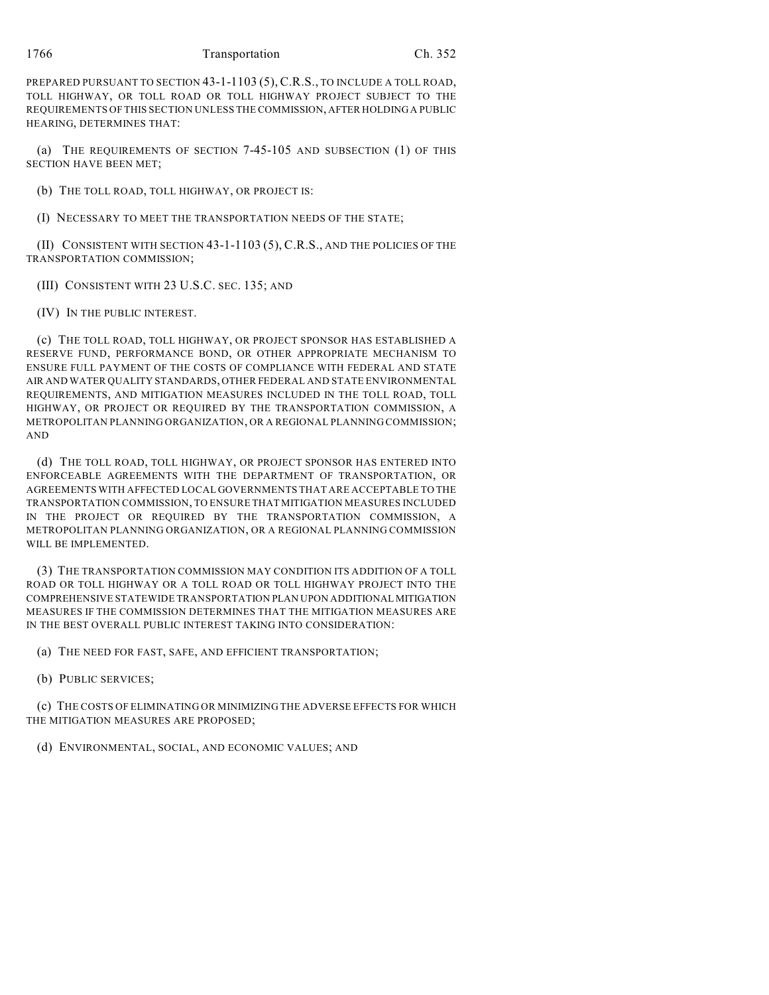## 1766 Transportation Ch. 352

PREPARED PURSUANT TO SECTION 43-1-1103 (5), C.R.S., TO INCLUDE A TOLL ROAD, TOLL HIGHWAY, OR TOLL ROAD OR TOLL HIGHWAY PROJECT SUBJECT TO THE REQUIREMENTS OF THIS SECTION UNLESS THE COMMISSION, AFTER HOLDING A PUBLIC HEARING, DETERMINES THAT:

(a) THE REQUIREMENTS OF SECTION 7-45-105 AND SUBSECTION (1) OF THIS SECTION HAVE BEEN MET;

(b) THE TOLL ROAD, TOLL HIGHWAY, OR PROJECT IS:

(I) NECESSARY TO MEET THE TRANSPORTATION NEEDS OF THE STATE;

(II) CONSISTENT WITH SECTION 43-1-1103 (5), C.R.S., AND THE POLICIES OF THE TRANSPORTATION COMMISSION;

(III) CONSISTENT WITH 23 U.S.C. SEC. 135; AND

(IV) IN THE PUBLIC INTEREST.

(c) THE TOLL ROAD, TOLL HIGHWAY, OR PROJECT SPONSOR HAS ESTABLISHED A RESERVE FUND, PERFORMANCE BOND, OR OTHER APPROPRIATE MECHANISM TO ENSURE FULL PAYMENT OF THE COSTS OF COMPLIANCE WITH FEDERAL AND STATE AIR AND WATER QUALITY STANDARDS, OTHER FEDERAL AND STATE ENVIRONMENTAL REQUIREMENTS, AND MITIGATION MEASURES INCLUDED IN THE TOLL ROAD, TOLL HIGHWAY, OR PROJECT OR REQUIRED BY THE TRANSPORTATION COMMISSION, A METROPOLITAN PLANNING ORGANIZATION, OR A REGIONAL PLANNING COMMISSION; AND

(d) THE TOLL ROAD, TOLL HIGHWAY, OR PROJECT SPONSOR HAS ENTERED INTO ENFORCEABLE AGREEMENTS WITH THE DEPARTMENT OF TRANSPORTATION, OR AGREEMENTS WITH AFFECTED LOCAL GOVERNMENTS THAT ARE ACCEPTABLE TO THE TRANSPORTATION COMMISSION, TO ENSURE THAT MITIGATION MEASURES INCLUDED IN THE PROJECT OR REQUIRED BY THE TRANSPORTATION COMMISSION, A METROPOLITAN PLANNING ORGANIZATION, OR A REGIONAL PLANNING COMMISSION WILL BE IMPLEMENTED.

(3) THE TRANSPORTATION COMMISSION MAY CONDITION ITS ADDITION OF A TOLL ROAD OR TOLL HIGHWAY OR A TOLL ROAD OR TOLL HIGHWAY PROJECT INTO THE COMPREHENSIVE STATEWIDE TRANSPORTATION PLAN UPON ADDITIONAL MITIGATION MEASURES IF THE COMMISSION DETERMINES THAT THE MITIGATION MEASURES ARE IN THE BEST OVERALL PUBLIC INTEREST TAKING INTO CONSIDERATION:

(a) THE NEED FOR FAST, SAFE, AND EFFICIENT TRANSPORTATION;

(b) PUBLIC SERVICES;

(c) THE COSTS OF ELIMINATING OR MINIMIZING THE ADVERSE EFFECTS FOR WHICH THE MITIGATION MEASURES ARE PROPOSED;

(d) ENVIRONMENTAL, SOCIAL, AND ECONOMIC VALUES; AND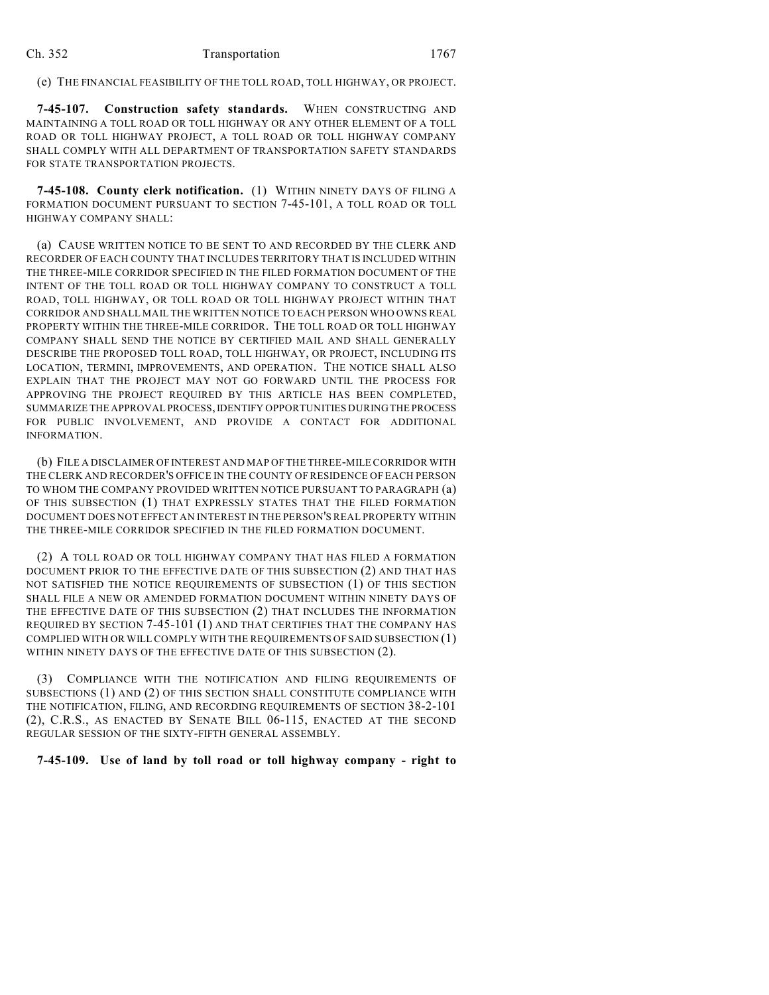(e) THE FINANCIAL FEASIBILITY OF THE TOLL ROAD, TOLL HIGHWAY, OR PROJECT.

**7-45-107. Construction safety standards.** WHEN CONSTRUCTING AND MAINTAINING A TOLL ROAD OR TOLL HIGHWAY OR ANY OTHER ELEMENT OF A TOLL ROAD OR TOLL HIGHWAY PROJECT, A TOLL ROAD OR TOLL HIGHWAY COMPANY SHALL COMPLY WITH ALL DEPARTMENT OF TRANSPORTATION SAFETY STANDARDS FOR STATE TRANSPORTATION PROJECTS.

**7-45-108. County clerk notification.** (1) WITHIN NINETY DAYS OF FILING A FORMATION DOCUMENT PURSUANT TO SECTION 7-45-101, A TOLL ROAD OR TOLL HIGHWAY COMPANY SHALL:

(a) CAUSE WRITTEN NOTICE TO BE SENT TO AND RECORDED BY THE CLERK AND RECORDER OF EACH COUNTY THAT INCLUDES TERRITORY THAT IS INCLUDED WITHIN THE THREE-MILE CORRIDOR SPECIFIED IN THE FILED FORMATION DOCUMENT OF THE INTENT OF THE TOLL ROAD OR TOLL HIGHWAY COMPANY TO CONSTRUCT A TOLL ROAD, TOLL HIGHWAY, OR TOLL ROAD OR TOLL HIGHWAY PROJECT WITHIN THAT CORRIDOR AND SHALL MAIL THE WRITTEN NOTICE TO EACH PERSON WHO OWNS REAL PROPERTY WITHIN THE THREE-MILE CORRIDOR. THE TOLL ROAD OR TOLL HIGHWAY COMPANY SHALL SEND THE NOTICE BY CERTIFIED MAIL AND SHALL GENERALLY DESCRIBE THE PROPOSED TOLL ROAD, TOLL HIGHWAY, OR PROJECT, INCLUDING ITS LOCATION, TERMINI, IMPROVEMENTS, AND OPERATION. THE NOTICE SHALL ALSO EXPLAIN THAT THE PROJECT MAY NOT GO FORWARD UNTIL THE PROCESS FOR APPROVING THE PROJECT REQUIRED BY THIS ARTICLE HAS BEEN COMPLETED, SUMMARIZE THE APPROVAL PROCESS, IDENTIFY OPPORTUNITIES DURING THE PROCESS FOR PUBLIC INVOLVEMENT, AND PROVIDE A CONTACT FOR ADDITIONAL INFORMATION.

(b) FILE A DISCLAIMER OF INTEREST AND MAP OF THE THREE-MILE CORRIDOR WITH THE CLERK AND RECORDER'S OFFICE IN THE COUNTY OF RESIDENCE OF EACH PERSON TO WHOM THE COMPANY PROVIDED WRITTEN NOTICE PURSUANT TO PARAGRAPH (a) OF THIS SUBSECTION (1) THAT EXPRESSLY STATES THAT THE FILED FORMATION DOCUMENT DOES NOT EFFECT AN INTEREST IN THE PERSON'S REAL PROPERTY WITHIN THE THREE-MILE CORRIDOR SPECIFIED IN THE FILED FORMATION DOCUMENT.

(2) A TOLL ROAD OR TOLL HIGHWAY COMPANY THAT HAS FILED A FORMATION DOCUMENT PRIOR TO THE EFFECTIVE DATE OF THIS SUBSECTION (2) AND THAT HAS NOT SATISFIED THE NOTICE REQUIREMENTS OF SUBSECTION (1) OF THIS SECTION SHALL FILE A NEW OR AMENDED FORMATION DOCUMENT WITHIN NINETY DAYS OF THE EFFECTIVE DATE OF THIS SUBSECTION (2) THAT INCLUDES THE INFORMATION REQUIRED BY SECTION 7-45-101 (1) AND THAT CERTIFIES THAT THE COMPANY HAS COMPLIED WITH OR WILL COMPLY WITH THE REQUIREMENTS OF SAID SUBSECTION (1) WITHIN NINETY DAYS OF THE EFFECTIVE DATE OF THIS SUBSECTION (2).

(3) COMPLIANCE WITH THE NOTIFICATION AND FILING REQUIREMENTS OF SUBSECTIONS (1) AND (2) OF THIS SECTION SHALL CONSTITUTE COMPLIANCE WITH THE NOTIFICATION, FILING, AND RECORDING REQUIREMENTS OF SECTION 38-2-101 (2), C.R.S., AS ENACTED BY SENATE BILL 06-115, ENACTED AT THE SECOND REGULAR SESSION OF THE SIXTY-FIFTH GENERAL ASSEMBLY.

## **7-45-109. Use of land by toll road or toll highway company - right to**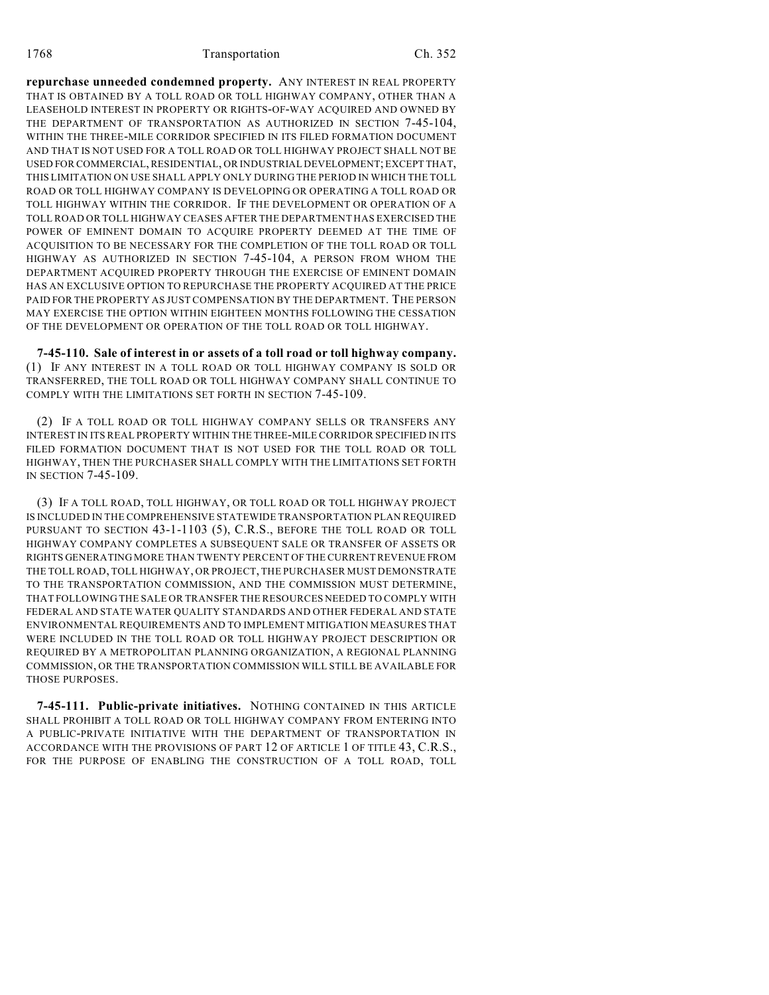**repurchase unneeded condemned property.** ANY INTEREST IN REAL PROPERTY THAT IS OBTAINED BY A TOLL ROAD OR TOLL HIGHWAY COMPANY, OTHER THAN A LEASEHOLD INTEREST IN PROPERTY OR RIGHTS-OF-WAY ACQUIRED AND OWNED BY THE DEPARTMENT OF TRANSPORTATION AS AUTHORIZED IN SECTION 7-45-104, WITHIN THE THREE-MILE CORRIDOR SPECIFIED IN ITS FILED FORMATION DOCUMENT AND THAT IS NOT USED FOR A TOLL ROAD OR TOLL HIGHWAY PROJECT SHALL NOT BE USED FOR COMMERCIAL, RESIDENTIAL, OR INDUSTRIAL DEVELOPMENT; EXCEPT THAT, THIS LIMITATION ON USE SHALL APPLY ONLY DURING THE PERIOD IN WHICH THE TOLL ROAD OR TOLL HIGHWAY COMPANY IS DEVELOPING OR OPERATING A TOLL ROAD OR TOLL HIGHWAY WITHIN THE CORRIDOR. IF THE DEVELOPMENT OR OPERATION OF A TOLL ROAD OR TOLL HIGHWAY CEASES AFTER THE DEPARTMENT HAS EXERCISED THE POWER OF EMINENT DOMAIN TO ACQUIRE PROPERTY DEEMED AT THE TIME OF ACQUISITION TO BE NECESSARY FOR THE COMPLETION OF THE TOLL ROAD OR TOLL HIGHWAY AS AUTHORIZED IN SECTION 7-45-104, A PERSON FROM WHOM THE DEPARTMENT ACQUIRED PROPERTY THROUGH THE EXERCISE OF EMINENT DOMAIN HAS AN EXCLUSIVE OPTION TO REPURCHASE THE PROPERTY ACQUIRED AT THE PRICE PAID FOR THE PROPERTY AS JUST COMPENSATION BY THE DEPARTMENT. THE PERSON MAY EXERCISE THE OPTION WITHIN EIGHTEEN MONTHS FOLLOWING THE CESSATION OF THE DEVELOPMENT OR OPERATION OF THE TOLL ROAD OR TOLL HIGHWAY.

**7-45-110. Sale of interest in or assets of a toll road or toll highway company.** (1) IF ANY INTEREST IN A TOLL ROAD OR TOLL HIGHWAY COMPANY IS SOLD OR TRANSFERRED, THE TOLL ROAD OR TOLL HIGHWAY COMPANY SHALL CONTINUE TO COMPLY WITH THE LIMITATIONS SET FORTH IN SECTION 7-45-109.

(2) IF A TOLL ROAD OR TOLL HIGHWAY COMPANY SELLS OR TRANSFERS ANY INTEREST IN ITS REAL PROPERTY WITHIN THE THREE-MILE CORRIDOR SPECIFIED IN ITS FILED FORMATION DOCUMENT THAT IS NOT USED FOR THE TOLL ROAD OR TOLL HIGHWAY, THEN THE PURCHASER SHALL COMPLY WITH THE LIMITATIONS SET FORTH IN SECTION 7-45-109.

(3) IF A TOLL ROAD, TOLL HIGHWAY, OR TOLL ROAD OR TOLL HIGHWAY PROJECT IS INCLUDED IN THE COMPREHENSIVE STATEWIDE TRANSPORTATION PLAN REQUIRED PURSUANT TO SECTION 43-1-1103 (5), C.R.S., BEFORE THE TOLL ROAD OR TOLL HIGHWAY COMPANY COMPLETES A SUBSEQUENT SALE OR TRANSFER OF ASSETS OR RIGHTS GENERATING MORE THAN TWENTY PERCENT OF THE CURRENT REVENUE FROM THE TOLL ROAD, TOLL HIGHWAY, OR PROJECT, THE PURCHASER MUST DEMONSTRATE TO THE TRANSPORTATION COMMISSION, AND THE COMMISSION MUST DETERMINE, THAT FOLLOWING THE SALE OR TRANSFER THE RESOURCES NEEDED TO COMPLY WITH FEDERAL AND STATE WATER QUALITY STANDARDS AND OTHER FEDERAL AND STATE ENVIRONMENTAL REQUIREMENTS AND TO IMPLEMENT MITIGATION MEASURES THAT WERE INCLUDED IN THE TOLL ROAD OR TOLL HIGHWAY PROJECT DESCRIPTION OR REQUIRED BY A METROPOLITAN PLANNING ORGANIZATION, A REGIONAL PLANNING COMMISSION, OR THE TRANSPORTATION COMMISSION WILL STILL BE AVAILABLE FOR THOSE PURPOSES.

**7-45-111. Public-private initiatives.** NOTHING CONTAINED IN THIS ARTICLE SHALL PROHIBIT A TOLL ROAD OR TOLL HIGHWAY COMPANY FROM ENTERING INTO A PUBLIC-PRIVATE INITIATIVE WITH THE DEPARTMENT OF TRANSPORTATION IN ACCORDANCE WITH THE PROVISIONS OF PART 12 OF ARTICLE 1 OF TITLE 43, C.R.S., FOR THE PURPOSE OF ENABLING THE CONSTRUCTION OF A TOLL ROAD, TOLL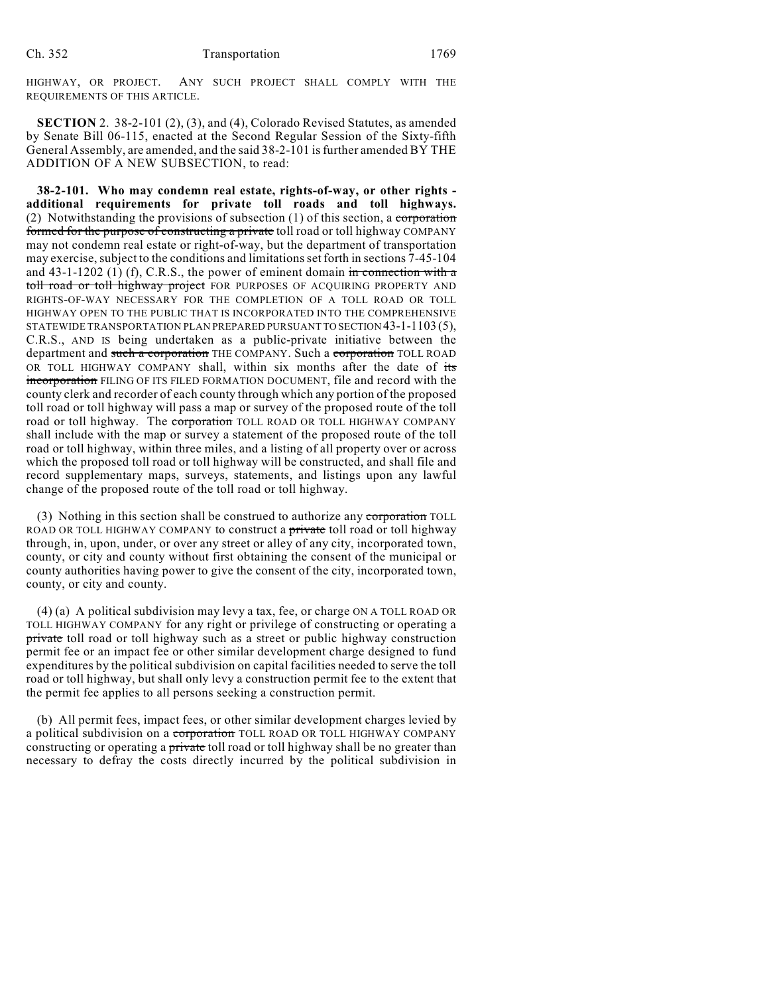HIGHWAY, OR PROJECT. ANY SUCH PROJECT SHALL COMPLY WITH THE REQUIREMENTS OF THIS ARTICLE.

**SECTION** 2. 38-2-101 (2), (3), and (4), Colorado Revised Statutes, as amended by Senate Bill 06-115, enacted at the Second Regular Session of the Sixty-fifth General Assembly, are amended, and the said 38-2-101 is further amended BY THE ADDITION OF A NEW SUBSECTION, to read:

**38-2-101. Who may condemn real estate, rights-of-way, or other rights additional requirements for private toll roads and toll highways.** (2) Notwithstanding the provisions of subsection  $(1)$  of this section, a corporation formed for the purpose of constructing a private toll road or toll highway COMPANY may not condemn real estate or right-of-way, but the department of transportation may exercise, subject to the conditions and limitations set forth in sections 7-45-104 and  $43-1-1202$  (1) (f), C.R.S., the power of eminent domain in connection with a toll road or toll highway project FOR PURPOSES OF ACQUIRING PROPERTY AND RIGHTS-OF-WAY NECESSARY FOR THE COMPLETION OF A TOLL ROAD OR TOLL HIGHWAY OPEN TO THE PUBLIC THAT IS INCORPORATED INTO THE COMPREHENSIVE STATEWIDE TRANSPORTATION PLAN PREPARED PURSUANT TO SECTION 43-1-1103 (5), C.R.S., AND IS being undertaken as a public-private initiative between the department and such a corporation THE COMPANY. Such a corporation TOLL ROAD OR TOLL HIGHWAY COMPANY shall, within six months after the date of its incorporation FILING OF ITS FILED FORMATION DOCUMENT, file and record with the county clerk and recorder of each county through which any portion of the proposed toll road or toll highway will pass a map or survey of the proposed route of the toll road or toll highway. The corporation TOLL ROAD OR TOLL HIGHWAY COMPANY shall include with the map or survey a statement of the proposed route of the toll road or toll highway, within three miles, and a listing of all property over or across which the proposed toll road or toll highway will be constructed, and shall file and record supplementary maps, surveys, statements, and listings upon any lawful change of the proposed route of the toll road or toll highway.

(3) Nothing in this section shall be construed to authorize any corporation TOLL ROAD OR TOLL HIGHWAY COMPANY to construct a private toll road or toll highway through, in, upon, under, or over any street or alley of any city, incorporated town, county, or city and county without first obtaining the consent of the municipal or county authorities having power to give the consent of the city, incorporated town, county, or city and county.

(4) (a) A political subdivision may levy a tax, fee, or charge ON A TOLL ROAD OR TOLL HIGHWAY COMPANY for any right or privilege of constructing or operating a private toll road or toll highway such as a street or public highway construction permit fee or an impact fee or other similar development charge designed to fund expenditures by the political subdivision on capital facilities needed to serve the toll road or toll highway, but shall only levy a construction permit fee to the extent that the permit fee applies to all persons seeking a construction permit.

(b) All permit fees, impact fees, or other similar development charges levied by a political subdivision on a corporation TOLL ROAD OR TOLL HIGHWAY COMPANY constructing or operating a private toll road or toll highway shall be no greater than necessary to defray the costs directly incurred by the political subdivision in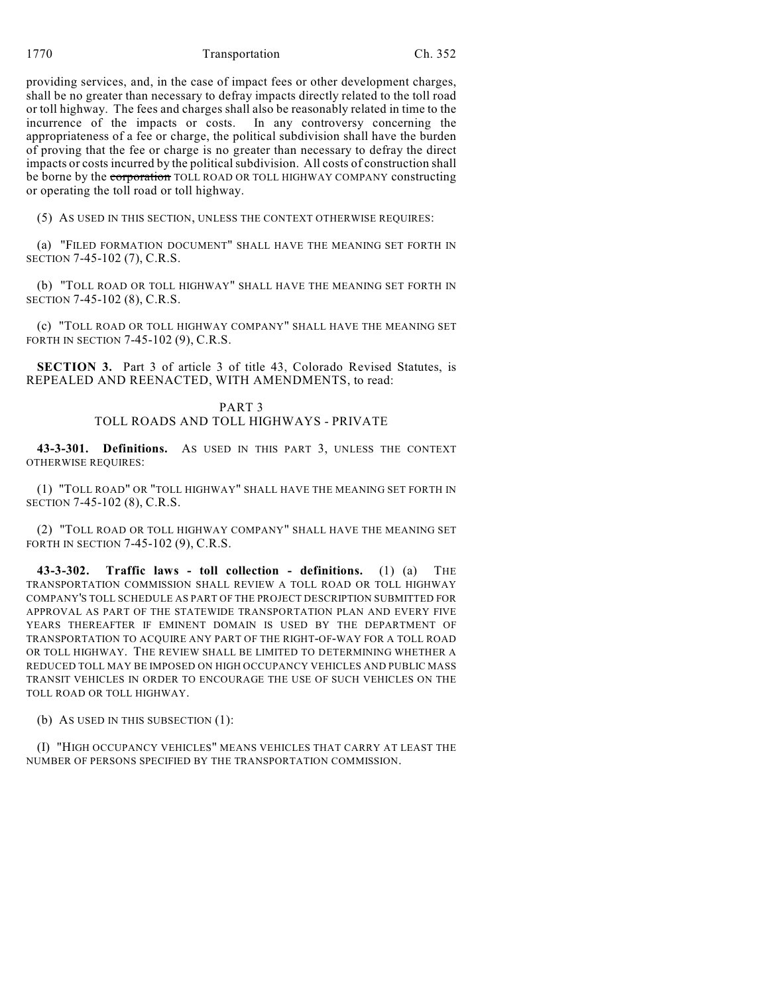1770 Ch. 352

providing services, and, in the case of impact fees or other development charges, shall be no greater than necessary to defray impacts directly related to the toll road or toll highway. The fees and charges shall also be reasonably related in time to the incurrence of the impacts or costs. In any controversy concerning the appropriateness of a fee or charge, the political subdivision shall have the burden of proving that the fee or charge is no greater than necessary to defray the direct impacts or costs incurred by the political subdivision. All costs of construction shall be borne by the corporation TOLL ROAD OR TOLL HIGHWAY COMPANY constructing or operating the toll road or toll highway.

(5) AS USED IN THIS SECTION, UNLESS THE CONTEXT OTHERWISE REQUIRES:

(a) "FILED FORMATION DOCUMENT" SHALL HAVE THE MEANING SET FORTH IN SECTION 7-45-102 (7), C.R.S.

(b) "TOLL ROAD OR TOLL HIGHWAY" SHALL HAVE THE MEANING SET FORTH IN SECTION 7-45-102 (8), C.R.S.

(c) "TOLL ROAD OR TOLL HIGHWAY COMPANY" SHALL HAVE THE MEANING SET FORTH IN SECTION 7-45-102 (9), C.R.S.

**SECTION 3.** Part 3 of article 3 of title 43, Colorado Revised Statutes, is REPEALED AND REENACTED, WITH AMENDMENTS, to read:

> PART 3 TOLL ROADS AND TOLL HIGHWAYS - PRIVATE

**43-3-301. Definitions.** AS USED IN THIS PART 3, UNLESS THE CONTEXT OTHERWISE REQUIRES:

(1) "TOLL ROAD" OR "TOLL HIGHWAY" SHALL HAVE THE MEANING SET FORTH IN SECTION 7-45-102 (8), C.R.S.

(2) "TOLL ROAD OR TOLL HIGHWAY COMPANY" SHALL HAVE THE MEANING SET FORTH IN SECTION 7-45-102 (9), C.R.S.

**43-3-302. Traffic laws - toll collection - definitions.** (1) (a) THE TRANSPORTATION COMMISSION SHALL REVIEW A TOLL ROAD OR TOLL HIGHWAY COMPANY'S TOLL SCHEDULE AS PART OF THE PROJECT DESCRIPTION SUBMITTED FOR APPROVAL AS PART OF THE STATEWIDE TRANSPORTATION PLAN AND EVERY FIVE YEARS THEREAFTER IF EMINENT DOMAIN IS USED BY THE DEPARTMENT OF TRANSPORTATION TO ACQUIRE ANY PART OF THE RIGHT-OF-WAY FOR A TOLL ROAD OR TOLL HIGHWAY. THE REVIEW SHALL BE LIMITED TO DETERMINING WHETHER A REDUCED TOLL MAY BE IMPOSED ON HIGH OCCUPANCY VEHICLES AND PUBLIC MASS TRANSIT VEHICLES IN ORDER TO ENCOURAGE THE USE OF SUCH VEHICLES ON THE TOLL ROAD OR TOLL HIGHWAY.

(b) AS USED IN THIS SUBSECTION (1):

(I) "HIGH OCCUPANCY VEHICLES" MEANS VEHICLES THAT CARRY AT LEAST THE NUMBER OF PERSONS SPECIFIED BY THE TRANSPORTATION COMMISSION.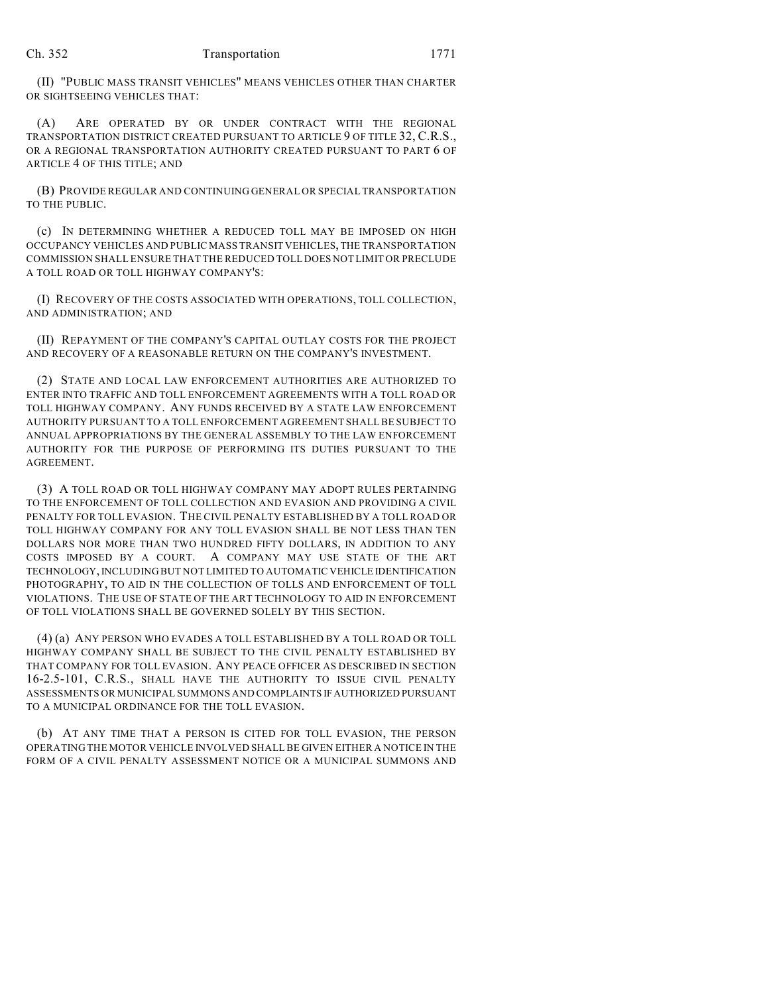(II) "PUBLIC MASS TRANSIT VEHICLES" MEANS VEHICLES OTHER THAN CHARTER OR SIGHTSEEING VEHICLES THAT:

(A) ARE OPERATED BY OR UNDER CONTRACT WITH THE REGIONAL TRANSPORTATION DISTRICT CREATED PURSUANT TO ARTICLE 9 OF TITLE 32, C.R.S., OR A REGIONAL TRANSPORTATION AUTHORITY CREATED PURSUANT TO PART 6 OF ARTICLE 4 OF THIS TITLE; AND

(B) PROVIDE REGULAR AND CONTINUING GENERAL OR SPECIAL TRANSPORTATION TO THE PUBLIC.

(c) IN DETERMINING WHETHER A REDUCED TOLL MAY BE IMPOSED ON HIGH OCCUPANCY VEHICLES AND PUBLIC MASS TRANSIT VEHICLES, THE TRANSPORTATION COMMISSION SHALL ENSURE THAT THE REDUCED TOLL DOES NOT LIMIT OR PRECLUDE A TOLL ROAD OR TOLL HIGHWAY COMPANY'S:

(I) RECOVERY OF THE COSTS ASSOCIATED WITH OPERATIONS, TOLL COLLECTION, AND ADMINISTRATION; AND

(II) REPAYMENT OF THE COMPANY'S CAPITAL OUTLAY COSTS FOR THE PROJECT AND RECOVERY OF A REASONABLE RETURN ON THE COMPANY'S INVESTMENT.

(2) STATE AND LOCAL LAW ENFORCEMENT AUTHORITIES ARE AUTHORIZED TO ENTER INTO TRAFFIC AND TOLL ENFORCEMENT AGREEMENTS WITH A TOLL ROAD OR TOLL HIGHWAY COMPANY. ANY FUNDS RECEIVED BY A STATE LAW ENFORCEMENT AUTHORITY PURSUANT TO A TOLL ENFORCEMENT AGREEMENT SHALL BE SUBJECT TO ANNUAL APPROPRIATIONS BY THE GENERAL ASSEMBLY TO THE LAW ENFORCEMENT AUTHORITY FOR THE PURPOSE OF PERFORMING ITS DUTIES PURSUANT TO THE AGREEMENT.

(3) A TOLL ROAD OR TOLL HIGHWAY COMPANY MAY ADOPT RULES PERTAINING TO THE ENFORCEMENT OF TOLL COLLECTION AND EVASION AND PROVIDING A CIVIL PENALTY FOR TOLL EVASION. THE CIVIL PENALTY ESTABLISHED BY A TOLL ROAD OR TOLL HIGHWAY COMPANY FOR ANY TOLL EVASION SHALL BE NOT LESS THAN TEN DOLLARS NOR MORE THAN TWO HUNDRED FIFTY DOLLARS, IN ADDITION TO ANY COSTS IMPOSED BY A COURT. A COMPANY MAY USE STATE OF THE ART TECHNOLOGY, INCLUDING BUT NOT LIMITED TO AUTOMATIC VEHICLE IDENTIFICATION PHOTOGRAPHY, TO AID IN THE COLLECTION OF TOLLS AND ENFORCEMENT OF TOLL VIOLATIONS. THE USE OF STATE OF THE ART TECHNOLOGY TO AID IN ENFORCEMENT OF TOLL VIOLATIONS SHALL BE GOVERNED SOLELY BY THIS SECTION.

(4) (a) ANY PERSON WHO EVADES A TOLL ESTABLISHED BY A TOLL ROAD OR TOLL HIGHWAY COMPANY SHALL BE SUBJECT TO THE CIVIL PENALTY ESTABLISHED BY THAT COMPANY FOR TOLL EVASION. ANY PEACE OFFICER AS DESCRIBED IN SECTION 16-2.5-101, C.R.S., SHALL HAVE THE AUTHORITY TO ISSUE CIVIL PENALTY ASSESSMENTS OR MUNICIPAL SUMMONS AND COMPLAINTS IF AUTHORIZED PURSUANT TO A MUNICIPAL ORDINANCE FOR THE TOLL EVASION.

(b) AT ANY TIME THAT A PERSON IS CITED FOR TOLL EVASION, THE PERSON OPERATING THE MOTOR VEHICLE INVOLVED SHALL BE GIVEN EITHER A NOTICE IN THE FORM OF A CIVIL PENALTY ASSESSMENT NOTICE OR A MUNICIPAL SUMMONS AND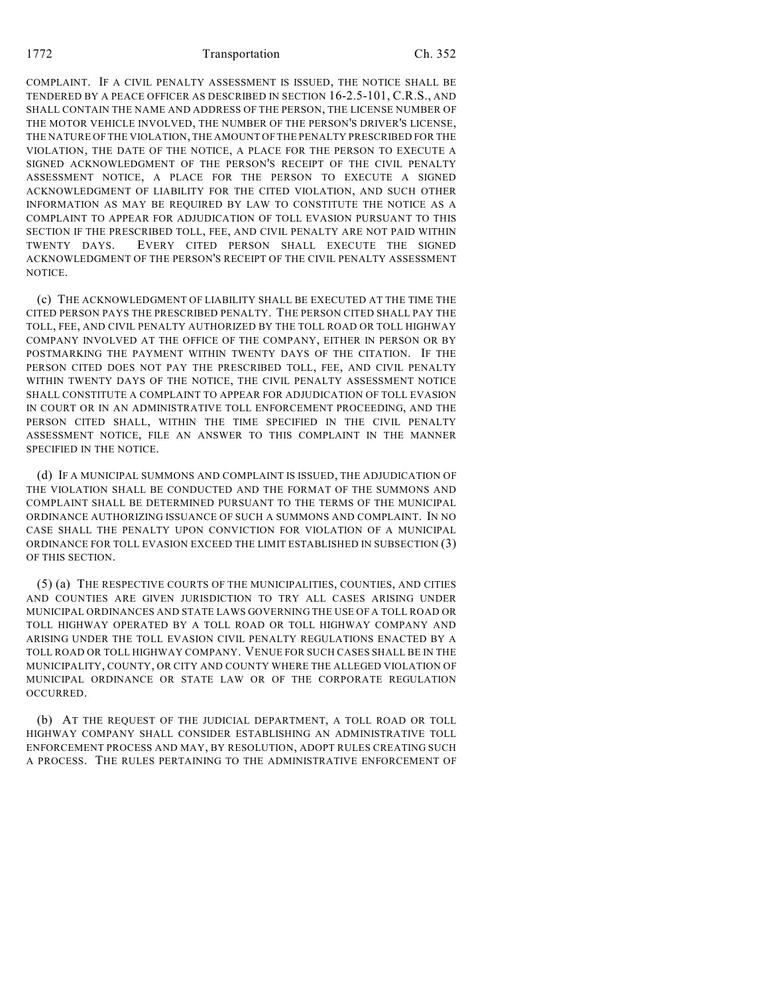1772 Transportation Ch. 352

COMPLAINT. IF A CIVIL PENALTY ASSESSMENT IS ISSUED, THE NOTICE SHALL BE TENDERED BY A PEACE OFFICER AS DESCRIBED IN SECTION 16-2.5-101, C.R.S., AND SHALL CONTAIN THE NAME AND ADDRESS OF THE PERSON, THE LICENSE NUMBER OF THE MOTOR VEHICLE INVOLVED, THE NUMBER OF THE PERSON'S DRIVER'S LICENSE, THE NATURE OF THE VIOLATION, THE AMOUNT OFTHE PENALTY PRESCRIBED FOR THE VIOLATION, THE DATE OF THE NOTICE, A PLACE FOR THE PERSON TO EXECUTE A SIGNED ACKNOWLEDGMENT OF THE PERSON'S RECEIPT OF THE CIVIL PENALTY ASSESSMENT NOTICE, A PLACE FOR THE PERSON TO EXECUTE A SIGNED ACKNOWLEDGMENT OF LIABILITY FOR THE CITED VIOLATION, AND SUCH OTHER INFORMATION AS MAY BE REQUIRED BY LAW TO CONSTITUTE THE NOTICE AS A COMPLAINT TO APPEAR FOR ADJUDICATION OF TOLL EVASION PURSUANT TO THIS SECTION IF THE PRESCRIBED TOLL, FEE, AND CIVIL PENALTY ARE NOT PAID WITHIN TWENTY DAYS. EVERY CITED PERSON SHALL EXECUTE THE SIGNED ACKNOWLEDGMENT OF THE PERSON'S RECEIPT OF THE CIVIL PENALTY ASSESSMENT NOTICE.

(c) THE ACKNOWLEDGMENT OF LIABILITY SHALL BE EXECUTED AT THE TIME THE CITED PERSON PAYS THE PRESCRIBED PENALTY. THE PERSON CITED SHALL PAY THE TOLL, FEE, AND CIVIL PENALTY AUTHORIZED BY THE TOLL ROAD OR TOLL HIGHWAY COMPANY INVOLVED AT THE OFFICE OF THE COMPANY, EITHER IN PERSON OR BY POSTMARKING THE PAYMENT WITHIN TWENTY DAYS OF THE CITATION. IF THE PERSON CITED DOES NOT PAY THE PRESCRIBED TOLL, FEE, AND CIVIL PENALTY WITHIN TWENTY DAYS OF THE NOTICE, THE CIVIL PENALTY ASSESSMENT NOTICE SHALL CONSTITUTE A COMPLAINT TO APPEAR FOR ADJUDICATION OF TOLL EVASION IN COURT OR IN AN ADMINISTRATIVE TOLL ENFORCEMENT PROCEEDING, AND THE PERSON CITED SHALL, WITHIN THE TIME SPECIFIED IN THE CIVIL PENALTY ASSESSMENT NOTICE, FILE AN ANSWER TO THIS COMPLAINT IN THE MANNER SPECIFIED IN THE NOTICE.

(d) IF A MUNICIPAL SUMMONS AND COMPLAINT IS ISSUED, THE ADJUDICATION OF THE VIOLATION SHALL BE CONDUCTED AND THE FORMAT OF THE SUMMONS AND COMPLAINT SHALL BE DETERMINED PURSUANT TO THE TERMS OF THE MUNICIPAL ORDINANCE AUTHORIZING ISSUANCE OF SUCH A SUMMONS AND COMPLAINT. IN NO CASE SHALL THE PENALTY UPON CONVICTION FOR VIOLATION OF A MUNICIPAL ORDINANCE FOR TOLL EVASION EXCEED THE LIMIT ESTABLISHED IN SUBSECTION (3) OF THIS SECTION.

(5) (a) THE RESPECTIVE COURTS OF THE MUNICIPALITIES, COUNTIES, AND CITIES AND COUNTIES ARE GIVEN JURISDICTION TO TRY ALL CASES ARISING UNDER MUNICIPAL ORDINANCES AND STATE LAWS GOVERNING THE USE OF A TOLL ROAD OR TOLL HIGHWAY OPERATED BY A TOLL ROAD OR TOLL HIGHWAY COMPANY AND ARISING UNDER THE TOLL EVASION CIVIL PENALTY REGULATIONS ENACTED BY A TOLL ROAD OR TOLL HIGHWAY COMPANY. VENUE FOR SUCH CASES SHALL BE IN THE MUNICIPALITY, COUNTY, OR CITY AND COUNTY WHERE THE ALLEGED VIOLATION OF MUNICIPAL ORDINANCE OR STATE LAW OR OF THE CORPORATE REGULATION OCCURRED.

(b) AT THE REQUEST OF THE JUDICIAL DEPARTMENT, A TOLL ROAD OR TOLL HIGHWAY COMPANY SHALL CONSIDER ESTABLISHING AN ADMINISTRATIVE TOLL ENFORCEMENT PROCESS AND MAY, BY RESOLUTION, ADOPT RULES CREATING SUCH A PROCESS. THE RULES PERTAINING TO THE ADMINISTRATIVE ENFORCEMENT OF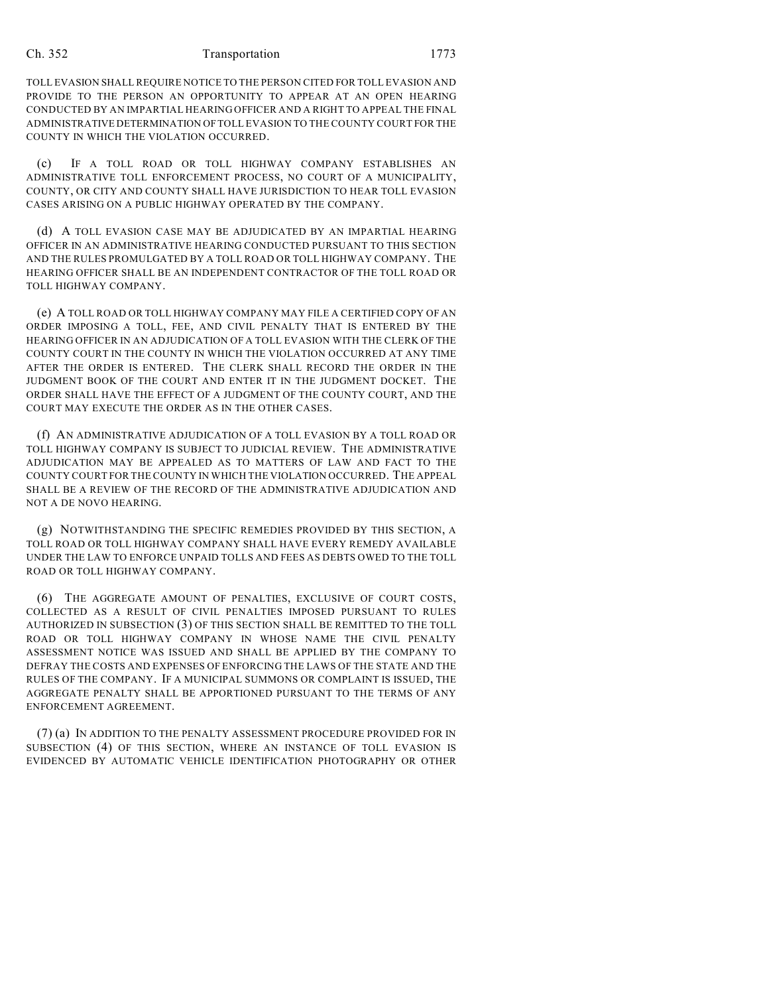TOLL EVASION SHALL REQUIRE NOTICE TO THE PERSON CITED FOR TOLL EVASION AND PROVIDE TO THE PERSON AN OPPORTUNITY TO APPEAR AT AN OPEN HEARING CONDUCTED BY AN IMPARTIAL HEARING OFFICER AND A RIGHT TO APPEAL THE FINAL ADMINISTRATIVE DETERMINATION OF TOLL EVASION TO THE COUNTY COURT FOR THE COUNTY IN WHICH THE VIOLATION OCCURRED.

(c) IF A TOLL ROAD OR TOLL HIGHWAY COMPANY ESTABLISHES AN ADMINISTRATIVE TOLL ENFORCEMENT PROCESS, NO COURT OF A MUNICIPALITY, COUNTY, OR CITY AND COUNTY SHALL HAVE JURISDICTION TO HEAR TOLL EVASION CASES ARISING ON A PUBLIC HIGHWAY OPERATED BY THE COMPANY.

(d) A TOLL EVASION CASE MAY BE ADJUDICATED BY AN IMPARTIAL HEARING OFFICER IN AN ADMINISTRATIVE HEARING CONDUCTED PURSUANT TO THIS SECTION AND THE RULES PROMULGATED BY A TOLL ROAD OR TOLL HIGHWAY COMPANY. THE HEARING OFFICER SHALL BE AN INDEPENDENT CONTRACTOR OF THE TOLL ROAD OR TOLL HIGHWAY COMPANY.

(e) A TOLL ROAD OR TOLL HIGHWAY COMPANY MAY FILE A CERTIFIED COPY OF AN ORDER IMPOSING A TOLL, FEE, AND CIVIL PENALTY THAT IS ENTERED BY THE HEARING OFFICER IN AN ADJUDICATION OF A TOLL EVASION WITH THE CLERK OF THE COUNTY COURT IN THE COUNTY IN WHICH THE VIOLATION OCCURRED AT ANY TIME AFTER THE ORDER IS ENTERED. THE CLERK SHALL RECORD THE ORDER IN THE JUDGMENT BOOK OF THE COURT AND ENTER IT IN THE JUDGMENT DOCKET. THE ORDER SHALL HAVE THE EFFECT OF A JUDGMENT OF THE COUNTY COURT, AND THE COURT MAY EXECUTE THE ORDER AS IN THE OTHER CASES.

(f) AN ADMINISTRATIVE ADJUDICATION OF A TOLL EVASION BY A TOLL ROAD OR TOLL HIGHWAY COMPANY IS SUBJECT TO JUDICIAL REVIEW. THE ADMINISTRATIVE ADJUDICATION MAY BE APPEALED AS TO MATTERS OF LAW AND FACT TO THE COUNTY COURT FOR THE COUNTY IN WHICH THE VIOLATION OCCURRED. THE APPEAL SHALL BE A REVIEW OF THE RECORD OF THE ADMINISTRATIVE ADJUDICATION AND NOT A DE NOVO HEARING.

(g) NOTWITHSTANDING THE SPECIFIC REMEDIES PROVIDED BY THIS SECTION, A TOLL ROAD OR TOLL HIGHWAY COMPANY SHALL HAVE EVERY REMEDY AVAILABLE UNDER THE LAW TO ENFORCE UNPAID TOLLS AND FEES AS DEBTS OWED TO THE TOLL ROAD OR TOLL HIGHWAY COMPANY.

(6) THE AGGREGATE AMOUNT OF PENALTIES, EXCLUSIVE OF COURT COSTS, COLLECTED AS A RESULT OF CIVIL PENALTIES IMPOSED PURSUANT TO RULES AUTHORIZED IN SUBSECTION (3) OF THIS SECTION SHALL BE REMITTED TO THE TOLL ROAD OR TOLL HIGHWAY COMPANY IN WHOSE NAME THE CIVIL PENALTY ASSESSMENT NOTICE WAS ISSUED AND SHALL BE APPLIED BY THE COMPANY TO DEFRAY THE COSTS AND EXPENSES OF ENFORCING THE LAWS OF THE STATE AND THE RULES OF THE COMPANY. IF A MUNICIPAL SUMMONS OR COMPLAINT IS ISSUED, THE AGGREGATE PENALTY SHALL BE APPORTIONED PURSUANT TO THE TERMS OF ANY ENFORCEMENT AGREEMENT.

(7) (a) IN ADDITION TO THE PENALTY ASSESSMENT PROCEDURE PROVIDED FOR IN SUBSECTION (4) OF THIS SECTION, WHERE AN INSTANCE OF TOLL EVASION IS EVIDENCED BY AUTOMATIC VEHICLE IDENTIFICATION PHOTOGRAPHY OR OTHER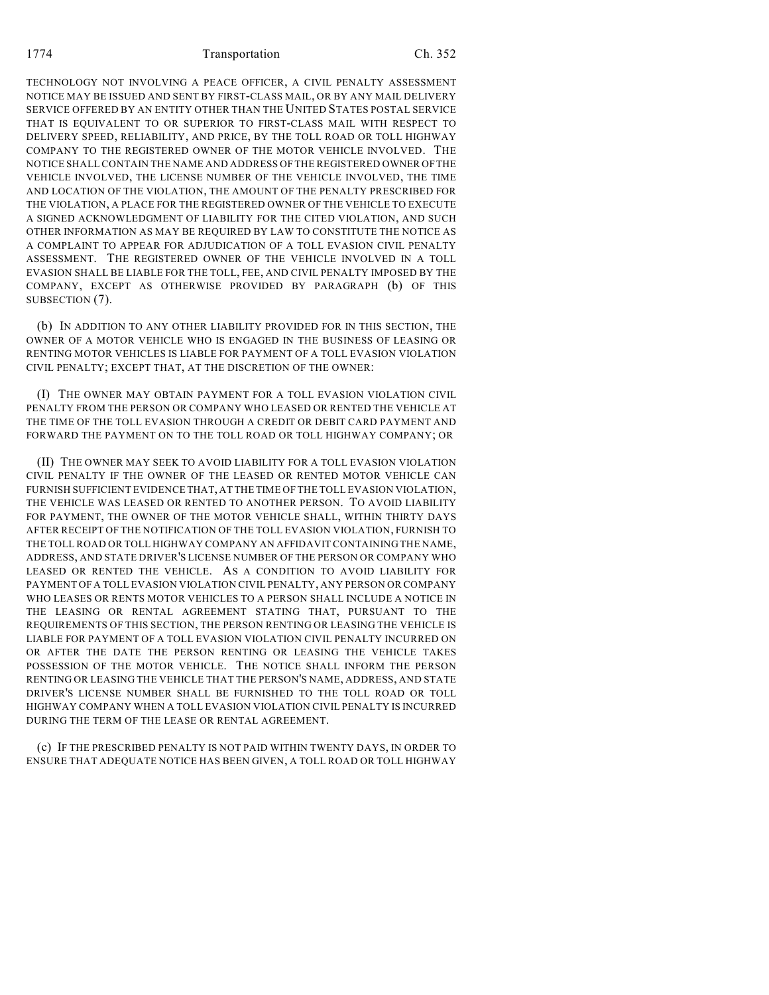TECHNOLOGY NOT INVOLVING A PEACE OFFICER, A CIVIL PENALTY ASSESSMENT NOTICE MAY BE ISSUED AND SENT BY FIRST-CLASS MAIL, OR BY ANY MAIL DELIVERY SERVICE OFFERED BY AN ENTITY OTHER THAN THE UNITED STATES POSTAL SERVICE THAT IS EQUIVALENT TO OR SUPERIOR TO FIRST-CLASS MAIL WITH RESPECT TO DELIVERY SPEED, RELIABILITY, AND PRICE, BY THE TOLL ROAD OR TOLL HIGHWAY COMPANY TO THE REGISTERED OWNER OF THE MOTOR VEHICLE INVOLVED. THE NOTICE SHALL CONTAIN THE NAME AND ADDRESS OF THE REGISTERED OWNER OF THE VEHICLE INVOLVED, THE LICENSE NUMBER OF THE VEHICLE INVOLVED, THE TIME AND LOCATION OF THE VIOLATION, THE AMOUNT OF THE PENALTY PRESCRIBED FOR THE VIOLATION, A PLACE FOR THE REGISTERED OWNER OF THE VEHICLE TO EXECUTE A SIGNED ACKNOWLEDGMENT OF LIABILITY FOR THE CITED VIOLATION, AND SUCH OTHER INFORMATION AS MAY BE REQUIRED BY LAW TO CONSTITUTE THE NOTICE AS A COMPLAINT TO APPEAR FOR ADJUDICATION OF A TOLL EVASION CIVIL PENALTY ASSESSMENT. THE REGISTERED OWNER OF THE VEHICLE INVOLVED IN A TOLL EVASION SHALL BE LIABLE FOR THE TOLL, FEE, AND CIVIL PENALTY IMPOSED BY THE COMPANY, EXCEPT AS OTHERWISE PROVIDED BY PARAGRAPH (b) OF THIS SUBSECTION (7).

(b) IN ADDITION TO ANY OTHER LIABILITY PROVIDED FOR IN THIS SECTION, THE OWNER OF A MOTOR VEHICLE WHO IS ENGAGED IN THE BUSINESS OF LEASING OR RENTING MOTOR VEHICLES IS LIABLE FOR PAYMENT OF A TOLL EVASION VIOLATION CIVIL PENALTY; EXCEPT THAT, AT THE DISCRETION OF THE OWNER:

(I) THE OWNER MAY OBTAIN PAYMENT FOR A TOLL EVASION VIOLATION CIVIL PENALTY FROM THE PERSON OR COMPANY WHO LEASED OR RENTED THE VEHICLE AT THE TIME OF THE TOLL EVASION THROUGH A CREDIT OR DEBIT CARD PAYMENT AND FORWARD THE PAYMENT ON TO THE TOLL ROAD OR TOLL HIGHWAY COMPANY; OR

(II) THE OWNER MAY SEEK TO AVOID LIABILITY FOR A TOLL EVASION VIOLATION CIVIL PENALTY IF THE OWNER OF THE LEASED OR RENTED MOTOR VEHICLE CAN FURNISH SUFFICIENT EVIDENCE THAT, AT THE TIME OF THE TOLL EVASION VIOLATION, THE VEHICLE WAS LEASED OR RENTED TO ANOTHER PERSON. TO AVOID LIABILITY FOR PAYMENT, THE OWNER OF THE MOTOR VEHICLE SHALL, WITHIN THIRTY DAYS AFTER RECEIPT OF THE NOTIFICATION OF THE TOLL EVASION VIOLATION, FURNISH TO THE TOLL ROAD OR TOLL HIGHWAY COMPANY AN AFFIDAVIT CONTAINING THE NAME, ADDRESS, AND STATE DRIVER'S LICENSE NUMBER OF THE PERSON OR COMPANY WHO LEASED OR RENTED THE VEHICLE. AS A CONDITION TO AVOID LIABILITY FOR PAYMENT OF A TOLL EVASION VIOLATION CIVIL PENALTY, ANY PERSON OR COMPANY WHO LEASES OR RENTS MOTOR VEHICLES TO A PERSON SHALL INCLUDE A NOTICE IN THE LEASING OR RENTAL AGREEMENT STATING THAT, PURSUANT TO THE REQUIREMENTS OF THIS SECTION, THE PERSON RENTING OR LEASING THE VEHICLE IS LIABLE FOR PAYMENT OF A TOLL EVASION VIOLATION CIVIL PENALTY INCURRED ON OR AFTER THE DATE THE PERSON RENTING OR LEASING THE VEHICLE TAKES POSSESSION OF THE MOTOR VEHICLE. THE NOTICE SHALL INFORM THE PERSON RENTING OR LEASING THE VEHICLE THAT THE PERSON'S NAME, ADDRESS, AND STATE DRIVER'S LICENSE NUMBER SHALL BE FURNISHED TO THE TOLL ROAD OR TOLL HIGHWAY COMPANY WHEN A TOLL EVASION VIOLATION CIVIL PENALTY IS INCURRED DURING THE TERM OF THE LEASE OR RENTAL AGREEMENT.

(c) IF THE PRESCRIBED PENALTY IS NOT PAID WITHIN TWENTY DAYS, IN ORDER TO ENSURE THAT ADEQUATE NOTICE HAS BEEN GIVEN, A TOLL ROAD OR TOLL HIGHWAY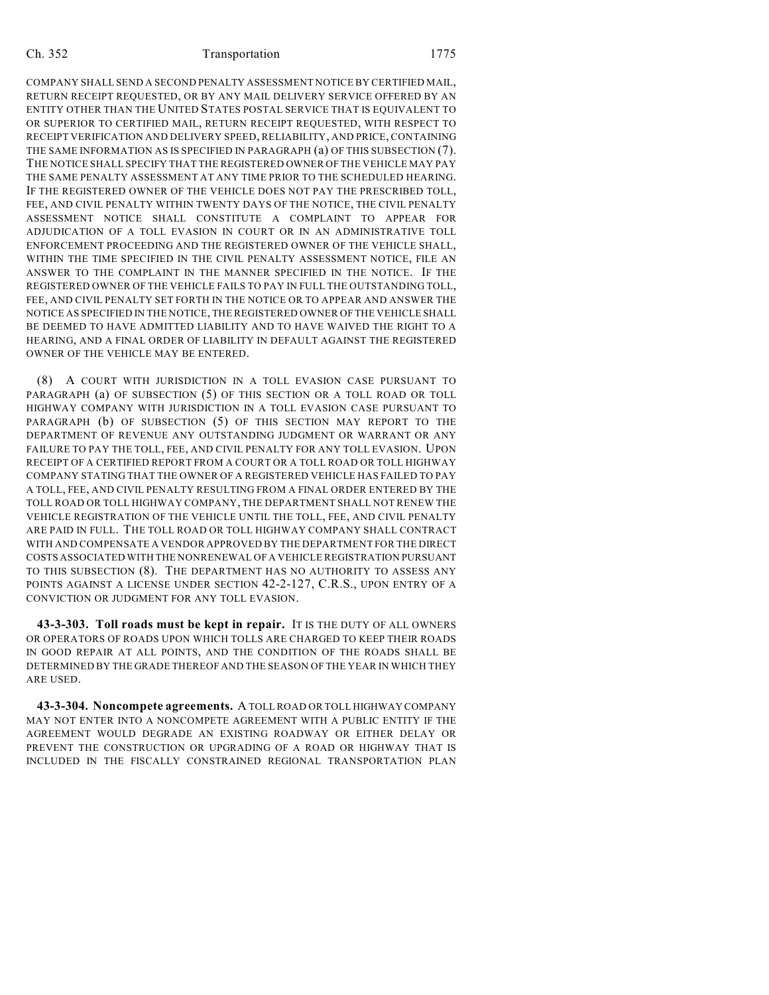COMPANY SHALL SEND A SECOND PENALTY ASSESSMENT NOTICE BY CERTIFIED MAIL, RETURN RECEIPT REQUESTED, OR BY ANY MAIL DELIVERY SERVICE OFFERED BY AN ENTITY OTHER THAN THE UNITED STATES POSTAL SERVICE THAT IS EQUIVALENT TO OR SUPERIOR TO CERTIFIED MAIL, RETURN RECEIPT REQUESTED, WITH RESPECT TO RECEIPT VERIFICATION AND DELIVERY SPEED, RELIABILITY, AND PRICE, CONTAINING THE SAME INFORMATION AS IS SPECIFIED IN PARAGRAPH (a) OF THIS SUBSECTION (7). THE NOTICE SHALL SPECIFY THAT THE REGISTERED OWNER OF THE VEHICLE MAY PAY THE SAME PENALTY ASSESSMENT AT ANY TIME PRIOR TO THE SCHEDULED HEARING. IF THE REGISTERED OWNER OF THE VEHICLE DOES NOT PAY THE PRESCRIBED TOLL, FEE, AND CIVIL PENALTY WITHIN TWENTY DAYS OF THE NOTICE, THE CIVIL PENALTY ASSESSMENT NOTICE SHALL CONSTITUTE A COMPLAINT TO APPEAR FOR ADJUDICATION OF A TOLL EVASION IN COURT OR IN AN ADMINISTRATIVE TOLL ENFORCEMENT PROCEEDING AND THE REGISTERED OWNER OF THE VEHICLE SHALL, WITHIN THE TIME SPECIFIED IN THE CIVIL PENALTY ASSESSMENT NOTICE, FILE AN ANSWER TO THE COMPLAINT IN THE MANNER SPECIFIED IN THE NOTICE. IF THE REGISTERED OWNER OF THE VEHICLE FAILS TO PAY IN FULL THE OUTSTANDING TOLL, FEE, AND CIVIL PENALTY SET FORTH IN THE NOTICE OR TO APPEAR AND ANSWER THE NOTICE AS SPECIFIED IN THE NOTICE, THE REGISTERED OWNER OF THE VEHICLE SHALL BE DEEMED TO HAVE ADMITTED LIABILITY AND TO HAVE WAIVED THE RIGHT TO A HEARING, AND A FINAL ORDER OF LIABILITY IN DEFAULT AGAINST THE REGISTERED OWNER OF THE VEHICLE MAY BE ENTERED.

(8) A COURT WITH JURISDICTION IN A TOLL EVASION CASE PURSUANT TO PARAGRAPH (a) OF SUBSECTION (5) OF THIS SECTION OR A TOLL ROAD OR TOLL HIGHWAY COMPANY WITH JURISDICTION IN A TOLL EVASION CASE PURSUANT TO PARAGRAPH (b) OF SUBSECTION (5) OF THIS SECTION MAY REPORT TO THE DEPARTMENT OF REVENUE ANY OUTSTANDING JUDGMENT OR WARRANT OR ANY FAILURE TO PAY THE TOLL, FEE, AND CIVIL PENALTY FOR ANY TOLL EVASION. UPON RECEIPT OF A CERTIFIED REPORT FROM A COURT OR A TOLL ROAD OR TOLL HIGHWAY COMPANY STATING THAT THE OWNER OF A REGISTERED VEHICLE HAS FAILED TO PAY A TOLL, FEE, AND CIVIL PENALTY RESULTING FROM A FINAL ORDER ENTERED BY THE TOLL ROAD OR TOLL HIGHWAY COMPANY, THE DEPARTMENT SHALL NOT RENEW THE VEHICLE REGISTRATION OF THE VEHICLE UNTIL THE TOLL, FEE, AND CIVIL PENALTY ARE PAID IN FULL. THE TOLL ROAD OR TOLL HIGHWAY COMPANY SHALL CONTRACT WITH AND COMPENSATE A VENDOR APPROVED BY THE DEPARTMENT FOR THE DIRECT COSTS ASSOCIATED WITH THE NONRENEWAL OF A VEHICLE REGISTRATION PURSUANT TO THIS SUBSECTION (8). THE DEPARTMENT HAS NO AUTHORITY TO ASSESS ANY POINTS AGAINST A LICENSE UNDER SECTION 42-2-127, C.R.S., UPON ENTRY OF A CONVICTION OR JUDGMENT FOR ANY TOLL EVASION.

**43-3-303. Toll roads must be kept in repair.** IT IS THE DUTY OF ALL OWNERS OR OPERATORS OF ROADS UPON WHICH TOLLS ARE CHARGED TO KEEP THEIR ROADS IN GOOD REPAIR AT ALL POINTS, AND THE CONDITION OF THE ROADS SHALL BE DETERMINED BY THE GRADE THEREOF AND THE SEASON OF THE YEAR IN WHICH THEY ARE USED.

**43-3-304. Noncompete agreements.** A TOLL ROAD OR TOLL HIGHWAY COMPANY MAY NOT ENTER INTO A NONCOMPETE AGREEMENT WITH A PUBLIC ENTITY IF THE AGREEMENT WOULD DEGRADE AN EXISTING ROADWAY OR EITHER DELAY OR PREVENT THE CONSTRUCTION OR UPGRADING OF A ROAD OR HIGHWAY THAT IS INCLUDED IN THE FISCALLY CONSTRAINED REGIONAL TRANSPORTATION PLAN